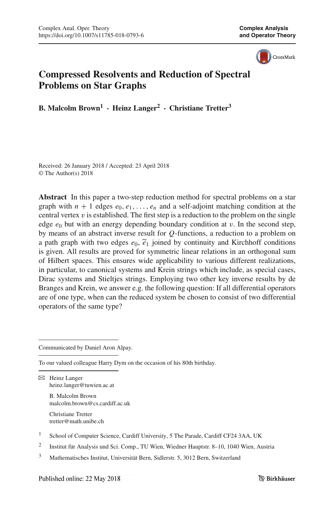CrossMark

# **Compressed Resolvents and Reduction of Spectral Problems on Star Graphs**

**B. Malcolm Brown<sup>1</sup> · Heinz Langer<sup>2</sup> · Christiane Tretter<sup>3</sup>**

Received: 26 January 2018 / Accepted: 23 April 2018 © The Author(s) 2018

**Abstract** In this paper a two-step reduction method for spectral problems on a star graph with  $n + 1$  edges  $e_0, e_1, \ldots, e_n$  and a self-adjoint matching condition at the central vertex *v* is established. The first step is a reduction to the problem on the single edge  $e_0$  but with an energy depending boundary condition at *v*. In the second step, by means of an abstract inverse result f edge  $e_0$  but with an energy depending boundary condition at  $v$ . In the second step, by means of an abstract inverse result for *Q*-functions, a reduction to a problem on a path graph with two edges  $e_0$ ,  $\tilde{e}_1$  joined by continuity and Kirchhoff conditions is given. All results are proved for symmetric linear relations in an orthogonal sum of Hilbert spaces. This ensures wide applicability to various different realizations, in particular, to canonical systems and Krein strings which include, as special cases, Dirac systems and Stieltjes strings. Employing two other key inverse results by de Branges and Krein, we answer e.g. the following question: If all differential operators are of one type, when can the reduced system be chosen to consist of two differential operators of the same type?

Communicated by Daniel Aron Alpay.

To our valued colleague Harry Dym on the occasion of his 80th birthday.

B Heinz Langer heinz.langer@tuwien.ac.at

> B. Malcolm Brown malcolm.brown@cs.cardiff.ac.uk

Christiane Tretter tretter@math.unibe.ch

<sup>1</sup> School of Computer Science, Cardiff University, 5 The Parade, Cardiff CF24 3AA, UK

<sup>2</sup> Institut für Analysis und Sci. Comp., TU Wien, Wiedner Hauptstr. 8–10, 1040 Wien, Austria

<sup>3</sup> Mathematisches Institut, Universität Bern, Sidlerstr. 5, 3012 Bern, Switzerland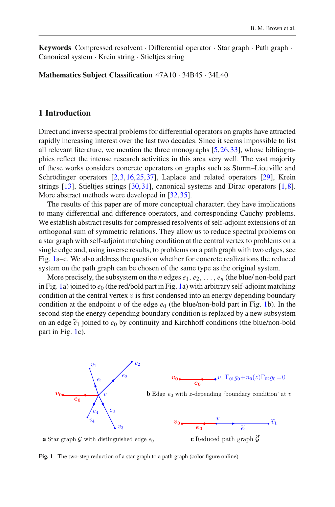**Keywords** Compressed resolvent · Differential operator · Star graph · Path graph · Canonical system · Krein string · Stieltjes string

**Mathematics Subject Classification** 47A10 · 34B45 · 34L40

#### **1 Introduction**

Direct and inverse spectral problems for differential operators on graphs have attracted rapidly increasing interest over the last two decades. Since it seems impossible to list all relevant literature, we mention the three monographs [\[5](#page-28-0)[,26](#page-28-1)[,33](#page-29-0)], whose bibliographies reflect the intense research activities in this area very well. The vast majority of these works considers concrete operators on graphs such as Sturm–Liouville and Schrödinger operators [\[2](#page-27-0)[,3](#page-27-1),[16,](#page-28-2)[25](#page-28-3)[,37](#page-29-1)], Laplace and related operators [\[29\]](#page-28-4), Krein strings [\[13](#page-28-5)], Stieltjes strings [\[30](#page-28-6),[31\]](#page-28-7), canonical systems and Dirac operators [\[1](#page-27-2)[,8](#page-28-8)]. More abstract methods were developed in [\[32](#page-28-9)[,35](#page-29-2)].

The results of this paper are of more conceptual character; they have implications to many differential and difference operators, and corresponding Cauchy problems. We establish abstract results for compressed resolvents of self-adjoint extensions of an orthogonal sum of symmetric relations. They allow us to reduce spectral problems on a star graph with self-adjoint matching condition at the central vertex to problems on a single edge and, using inverse results, to problems on a path graph with two edges, see Fig. [1a](#page-1-0)–c. We also address the question whether for concrete realizations the reduced system on the path graph can be chosen of the same type as the original system.

More precisely, the subsystem on the *n* edges  $e_1, e_2, \ldots, e_n$  (the blue/ non-bold part in Fig. [1a](#page-1-0)) joined to  $e_0$  (the red/bold part in Fig. 1a) with arbitrary self-adjoint matching condition at the central vertex v is first condensed into an energy depending boundary condition at the endpoint v of the edge  $e_0$  (the blue/non-bold part in Fig. 1b). In the second step the energy depending boundary co condition at the endpoint v of the edge  $e_0$  (the blue/non-bold part in Fig. [1b](#page-1-0)). In the second step the energy depending boundary condition is replaced by a new subsystem on an edge  $\tilde{e}_1$  joined to  $e_0$  by continuity and Kirchhoff conditions (the blue/non-bold part in Fig. [1c](#page-1-0)).



**a** Star graph  $\mathcal{G}$  with distinguished edge  $e_0$ 

**c** Reduced path graph G

<span id="page-1-0"></span>**Fig. 1** The two-step reduction of a star graph to a path graph (color figure online)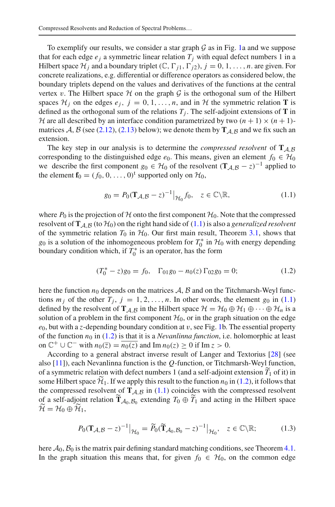To exemplify our results, we consider a star graph  $G$  as in Fig. [1a](#page-1-0) and we suppose that for each edge  $e_i$  a symmetric linear relation  $T_i$  with equal defect numbers 1 in a Hilbert space  $\mathcal{H}_j$  and a boundary triplet  $(\mathbb{C}, \Gamma_{j1}, \Gamma_{j2}), j = 0, 1, \ldots, n$ . are given. For concrete realizations, e.g. differential or difference operators as considered below, the boundary triplets depend on the values and derivatives of the functions at the central vertex v. The Hilbert space  $H$  on the graph  $G$  is the orthogonal sum of the Hilbert spaces  $\mathcal{H}_i$  on the edges  $e_j$ ,  $j = 0, 1, \ldots, n$ , and in  $\mathcal{H}$  the symmetric relation **T** is defined as the orthogonal sum of the relations  $T_i$ . The self-adjoint extensions of **T** in *H* are all described by an interface condition parametrized by two  $(n + 1) \times (n + 1)$ matrices *A*, *B* (see [\(2.12\)](#page-7-0), [\(2.13\)](#page-7-1) below); we denote them by  $T_{A,B}$  and we fix such an extension.

The key step in our analysis is to determine the *compressed resolvent* of **T***A*,*<sup>B</sup>* corresponding to the distinguished edge  $e_0$ . This means, given an element  $f_0 \in H_0$ we describe the first component  $g_0 \in H_0$  of the resolvent  $(T_{\mathcal{A}, \mathcal{B}} - z)^{-1}$  applied to the element  $\mathbf{f}_0 = (f_0, 0, \dots, 0)^t$  supported only on  $\mathcal{H}_0$ ,

<span id="page-2-0"></span>
$$
g_0 = P_0(\mathbf{T}_{\mathcal{A}, \mathcal{B}} - z)^{-1} \big|_{\mathcal{H}_0} f_0, \quad z \in \mathbb{C} \backslash \mathbb{R}, \tag{1.1}
$$

where  $P_0$  is the projection of  $H$  onto the first component  $H_0$ . Note that the compressed resolvent of  $\mathbf{T}_{A,B}$  (to  $\mathcal{H}_0$ ) on the right hand side of [\(1.1\)](#page-2-0) is also a *generalized resolvent* of the symmetric relation  $T_0$  in  $H_0$ . Our first main result, Theorem [3.1,](#page-10-0) shows that *g*<sub>0</sub> is a solution of the inhomogeneous problem for  $T_0^*$  in  $H_0$  with energy depending boundary condition which, if  $T_0^*$  is an operator, has the form

<span id="page-2-1"></span>
$$
(T_0^* - z)g_0 = f_0, \quad \Gamma_{01}g_0 - n_0(z)\Gamma_{02}g_0 = 0; \tag{1.2}
$$

here the function  $n_0$  depends on the matrices  $A$ ,  $B$  and on the Titchmarsh-Weyl functions  $m_j$  of the other  $T_j$ ,  $j = 1, 2, \ldots, n$ . In other words, the element  $g_0$  in [\(1.1\)](#page-2-0) defined by the resolvent of  $\mathbf{T}_{A,B}$  in the Hilbert space  $\mathcal{H} = \mathcal{H}_0 \oplus \mathcal{H}_1 \oplus \cdots \oplus \mathcal{H}_n$  is a solution of a problem in the first component  $H_0$ , or in the graph situation on the edge  $e_0$ , but with a *z*-depending boundary condition at v, see Fig. [1b](#page-1-0). The essential property of the function  $n_0$  in [\(1.2\)](#page-2-1) is that it is a *Nevanlinna function*, i.e. holomorphic at least<br>on  $C^+ + C^-$  with  $n_0(\bar{z}) = \overline{n_0(z)}$  and  $\text{Im } n_1(z) > 0$  if  $\text{Im } z > 0$ on  $\mathbb{C}^+ \cup \mathbb{C}^-$  with  $n_0(\overline{z}) = n_0(z)$  and Im  $n_0(z) \ge 0$  if Im  $z > 0$ .

According to a general abstract inverse result of Langer and Textorius [\[28](#page-28-10)] (see also [\[11](#page-28-11)]), each Nevanlinna function is the *Q*-function, or Titchmarsh-Weyl function, of a symmetric relation with defect numbers 1 (and a self-adjoint extension  $\overline{T}_1$  of it) in According to a ge<br>also [11]), each Nevar<br>of a symmetric relation some Hilbert space  $\mathcal{H}_1$ . If we apply this result to the function  $n_0$  in [\(1.2\)](#page-2-1), it follows that the compressed resolvent of  $T_{A,B}$  in [\(1.1\)](#page-2-0) coincides with the compressed resolvent of a symmetric relation with defect numbers 1 (and a self-adjoint extension  $\tilde{T}_1$  of it) in some Hilbert space  $\tilde{\mathcal{H}}_1$ . If we apply this result to the function  $n_0$  in (1.2), it follows that the compressed resol or<br>so<br>the<br>of<br> $\widetilde{\mathcal{H}}$ some Hilbert s<br>the compresse<br>of a self-adjoin<br> $\widetilde{H} = H_0 \oplus \widetilde{H}$  $\mathcal{H} = \mathcal{H}_0 \oplus \mathcal{H}_1,$  $B_0$  extending  $T_0 \oplus \widetilde{T}_1$  and<br> $B_{\mathcal{H}_0} = \widetilde{P}_0(\widetilde{T}_{\mathcal{A}_0, \mathcal{B}_0} - z)^{-1}$ 

$$
P_0(\mathbf{T}_{\mathcal{A}, \mathcal{B}} - z)^{-1} \big|_{\mathcal{H}_0} = \widetilde{P}_0(\widetilde{\mathbf{T}}_{\mathcal{A}_0, \mathcal{B}_0} - z)^{-1} \big|_{\mathcal{H}_0}, \quad z \in \mathbb{C} \backslash \mathbb{R};
$$
 (1.3)

here  $A_0$ ,  $B_0$  is the matrix pair defining standard matching conditions, see Theorem [4.1.](#page-14-0) In the graph situation this means that, for given  $f_0 \in H_0$ , on the common edge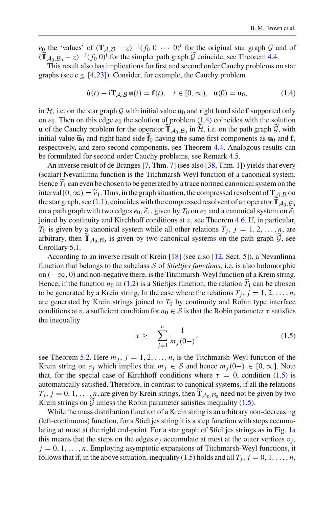$e_0$  the 'values' of  $(T_{A,B} - z)^{-1}(f_0 \ 0 \ \cdots \ 0)^t$  for the original star graph *G* and of  $\frac{e_0}{\sqrt{\textbf{T}}}$  $\mathbf{T}_{\mathcal{A}_0,\mathcal{B}_0}$  − *z*)<sup>−1</sup>(*f*<sub>0</sub> 0)<sup>t</sup> for the simpler path graph  $\mathcal G$  coincide, see Theorem [4.4.](#page-16-0)

This result also has implications for first and second order Cauchy problems on star graphs (see e.g. [\[4](#page-28-12),[23\]](#page-28-13)). Consider, for example, the Cauchy problem

<span id="page-3-0"></span>
$$
\dot{\mathbf{u}}(t) - \mathrm{i} \mathbf{T}_{\mathcal{A}, \mathcal{B}} \mathbf{u}(t) = \mathbf{f}(t), \quad t \in [0, \infty), \quad \mathbf{u}(0) = \mathbf{u}_0,\tag{1.4}
$$

in  $H$ , i.e. on the star graph G with initial value  $\mathbf{u}_0$  and right hand side **f** supported only on  $e_0$ . Then on this edge  $e_0$  the solution of problem  $(1.4)$  coincides with the solution in *H*, i.e. on the star graph *G* with initial value  $\mathbf{u}_0$  and rion  $e_0$ . Then on this edge  $e_0$  the solution of problem (1  $\mathbf{u}$  of the Cauchy problem for the operator  $\widetilde{\mathbf{T}}_{\mathcal{A}_0,\mathcal{B}_0}$  in  $\widetilde{\mathcal{H}}$ , i.e. on the path graph  $G$ , with in  $H$ , i.e. on the star graph  $G$  with init<br>on  $e_0$ . Then on this edge  $e_0$  the soluti<br>**u** of the Cauchy problem for the oper<br>initial value  $\tilde{u}_0$  and right hand side  $\tilde{f}_0$ initial value  $\tilde{\mathbf{u}}_0$  and right hand side  $\mathbf{f}_0$  having the same first components as  $\mathbf{u}_0$  and  $\mathbf{f}$ , respectively, and zero second components, see Theorem [4.4.](#page-16-0) Analogous results can be formulated for second order Cauchy problems, see Remark [4.5.](#page-16-1)

An inverse result of de Branges [\[7](#page-28-14), Thm. 7] (see also [\[38](#page-29-3), Thm. 1]) yields that every (scalar) Nevanlinna function is the Titchmarsh-Weyl function of a canonical system. Hence *T* <sup>1</sup> can even be chosen to be generated by a trace normed canonical system on the An inverse result of de Branges [7, Thm. 7] (see also [38, Thm. 1]) yields that every (scalar) Nevanlinna function is the Titchmarsh-Weyl function of a canonical system.<br>Hence  $\widetilde{T}_1$  can even be chosen to be generated (scalar) Nevanlinna function is the Titchmarsh-Weyl function of a canonical system<br>Hence  $\widetilde{T}_1$  can even be chosen to be generated by a trace normed canonical system on the<br>interval  $[0, \infty) = \widetilde{e}_1$ . Thus, in the gra Hence  $\widetilde{T}_1$  can even be chosen to be generated by a trace normed canonical system on the interval  $[0, \infty) = \widetilde{e}_1$ . Thus, in the graph situation, the compressed resolvent of  $\mathbf{T}_{A_1, B}$  on the star graph, see (1.1  $\alpha_0, \beta_0$ <br>  $\alpha_1 \widetilde{e}_1$ joined by continuity and Kirchhoff conditions at  $v$ , see Theorem [4.6.](#page-18-0) If, in particular, *T*<sub>0</sub> is given by a canonical system while all other relations  $T_j$ ,  $j = 1, 2, \ldots, n$ , are arbitrary, then  $\tilde{T}_{A_0, B_0}$  is given by  $\tilde{T}_0$  on  $e_0$  and a canonical system on  $\tilde{e}_1$ <br>joined by continuity and Kirchhoff conditions at  $v$ , see Theorem 4.6. If, in particular,  $T_0$  is given by a canonical sys Corollary [5.1.](#page-20-0)

According to an inverse result of Krein [\[18\]](#page-28-15) (see also [\[12](#page-28-16), Sect. 5]), a Nevanlinna function that belongs to the subclass *S* of *Stieltjes functions*, i.e. is also holomorphic on  $(-\infty, 0)$  and non-negative there, is the Titchmarsh-Weyl function of a Krein string. Hence, if the function  $n_0$  in [\(1.2\)](#page-2-1) is a Stieltjes function, the relation  $T_1$  can be chosen to be generated by a Krein string. In the case where the relations  $T_j$ ,  $j = 1, 2, \ldots, n$ , are generated by Krein strings joined to *T*<sub>0</sub> by continuity and Robin type interface<br>conditions at *v*, a sufficient condition for  $n_0 \in S$  is that the Robin parameter *τ* satisfies<br>the inequality<br> $\tau \ge -\sum_{m=0}^{n} \frac{1}{m$ conditions at v, a sufficient condition for  $n_0 \in S$  is that the Robin parameter  $\tau$  satisfies the inequality

<span id="page-3-1"></span>
$$
\tau \ge -\sum_{j=1}^{n} \frac{1}{m_j(0-)},\tag{1.5}
$$

see Theorem [5.2.](#page-24-0) Here  $m_j$ ,  $j = 1, 2, ..., n$ , is the Titchmarsh-Weyl function of the Krein string on  $e_j$  which implies that  $m_j \in S$  and hence  $m_j(0-) \in [0,\infty]$ . Note that, for the special case of Kirchhoff conditions where  $\tau = 0$ , condition [\(1.5\)](#page-3-1) is automatically satisfied. Therefore, in contrast to canonical systems, if all the relations *T*<sub>*Tj*</sub>, *j* = 0, 1, ..., *n*, are given by Krein strings, then  $\tilde{T}_{A_0, B_0}$  need not be given by two *T*<sub>*j*</sub>, *j* = 0, 1, ..., *n*, are given by Krein strings, then  $\tilde{T}_{A_0, B_0}$  need not be given by two Krein strings on  $G$  unless the Robin parameter satisfies inequality [\(1.5\)](#page-3-1).

While the mass distribution function of a Krein string is an arbitrary non-decreasing (left-continuous) function, for a Stieltjes string it is a step function with steps accumulating at most at the right end-point. For a star graph of Stieltjes strings as in Fig. [1a](#page-1-0) this means that the steps on the edges  $e_i$  accumulate at most at the outer vertices  $v_i$ ,  $j = 0, 1, \ldots, n$ . Employing asymptotic expansions of Titchmarsh-Weyl functions, it follows that if, in the above situation, inequality [\(1.5\)](#page-3-1) holds and all  $T_i$ ,  $j = 0, 1, \ldots, n$ ,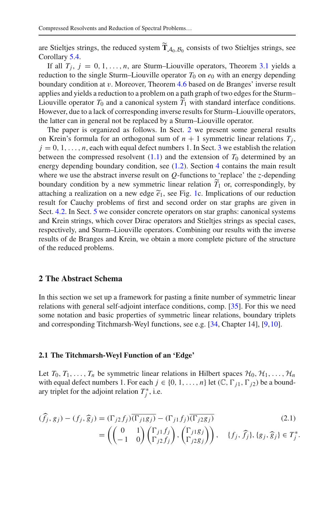Compressed Resolvents and Reduction of Spectral Problems...<br>are Stieltjes strings, the reduced system  $\widetilde{T}_{A_0, B_0}$  consists of two Stieltjes strings, see Corollary [5.4.](#page-27-3)

If all  $T_j$ ,  $j = 0, 1, \ldots, n$ , are Sturm–Liouville operators, Theorem [3.1](#page-10-0) yields a reduction to the single Sturm–Liouville operator  $T_0$  on  $e_0$  with an energy depending boundary condition at v. Moreover, Theorem [4.6](#page-18-0) based on de Branges' inverse result applies and yields a reduction to a problem on a path graph of two edges for the Sturm– Liouville operator  $T_0$  and a canonical system  $T_1$  with standard interface conditions. However, due to a lack of corresponding inverse results for Sturm–Liouville operators, the latter can in general not be replaced by a Sturm–Liouville operator.

The paper is organized as follows. In Sect. [2](#page-4-0) we present some general results on Krein's formula for an orthogonal sum of  $n + 1$  symmetric linear relations  $T_i$ ,  $j = 0, 1, \ldots, n$ , each with equal defect numbers 1. In Sect. [3](#page-9-0) we establish the relation between the compressed resolvent  $(1.1)$  and the extension of  $T_0$  determined by an energy depending boundary condition, see [\(1.2\)](#page-2-1). Section [4](#page-14-1) contains the main result where we use the abstract inverse result on  $Q$ -functions to 'replace' the *z*-depending boundary condition by a new symmetric linear rela where we use the abstract inverse result on  $Q$ -functions to 'replace' the *z*-depending boundary condition by a new symmetric linear relation  $T_1$  or, correspondingly, by attaching a realization on a new edge  $\tilde{e}_1$ , see Fig. [1c](#page-1-0). Implications of our reduction result for Cauchy problems of first and second order on star graphs are given in Sect. [4.2.](#page-16-2) In Sect. [5](#page-19-0) we consider concrete operators on star graphs: canonical systems and Krein strings, which cover Dirac operators and Stieltjes strings as special cases, respectively, and Sturm–Liouville operators. Combining our results with the inverse results of de Branges and Krein, we obtain a more complete picture of the structure of the reduced problems.

#### <span id="page-4-0"></span>**2 The Abstract Schema**

In this section we set up a framework for pasting a finite number of symmetric linear relations with general self-adjoint interface conditions, comp. [\[35\]](#page-29-2). For this we need some notation and basic properties of symmetric linear relations, boundary triplets and corresponding Titchmarsh-Weyl functions, see e.g. [\[34](#page-29-4), Chapter 14], [\[9,](#page-28-17)[10\]](#page-28-18).

#### **2.1 The Titchmarsh-Weyl Function of an 'Edge'**

Let  $T_0, T_1, \ldots, T_n$  be symmetric linear relations in Hilbert spaces  $H_0, H_1, \ldots, H_n$ with equal defect numbers 1. For each  $j \in \{0, 1, ..., n\}$  let  $(\mathbb{C}, \Gamma_{j1}, \Gamma_{j2})$  be a boundary triplet for the adjoint relation  $T_j^*$ , i.e.<br>  $(\widehat{f}_j, g_j) - (f_j, \widehat{g}_j) = (\Gamma_{j2} f_j) \overline{(\Gamma_{j1} g_j)}$  $\mathfrak{m}$  i

<span id="page-4-1"></span>
$$
\begin{aligned}\n\text{(fj, } g_j) - (f_j, \widehat{g}_j) &= (\Gamma_{j2} f_j) \overline{(\Gamma_{j1} g_j)} - (\Gamma_{j1} f_j) \overline{(\Gamma_{j2} g_j)} \\
&= \left( \begin{pmatrix} 0 & 1 \\ -1 & 0 \end{pmatrix} \begin{pmatrix} \Gamma_{j1} f_j \\ \Gamma_{j2} f_j \end{pmatrix}, \begin{pmatrix} \Gamma_{j1} g_j \\ \Gamma_{j2} g_j \end{pmatrix} \right), \quad \{f_j, \widehat{f}_j\}, \{g_j, \widehat{g}_j\} \in T_j^*.\n\end{aligned}
$$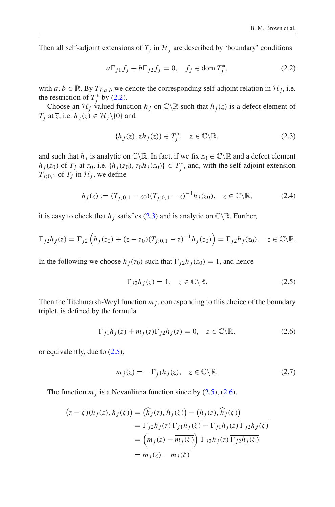Then all self-adjoint extensions of  $T_j$  in  $H_j$  are described by 'boundary' conditions

<span id="page-5-0"></span>
$$
a\Gamma_{j1}f_j + b\Gamma_{j2}f_j = 0, \quad f_j \in \text{dom } T_j^*, \tag{2.2}
$$

with  $a, b \in \mathbb{R}$ . By  $T_{i,a,b}$  we denote the corresponding self-adjoint relation in  $\mathcal{H}_i$ , i.e. the restriction of  $T_j^*$  by [\(2.2\)](#page-5-0).

Choose an  $\mathcal{H}_i$ -valued function  $h_i$  on  $\mathbb{C}\backslash\mathbb{R}$  such that  $h_i(z)$  is a defect element of *T<sub>j</sub>* at  $\overline{z}$ , i.e.  $h_j(z) \in \mathcal{H}_j \setminus \{0\}$  and

<span id="page-5-1"></span>
$$
\{h_j(z), zh_j(z)\} \in T_j^*, \quad z \in \mathbb{C} \backslash \mathbb{R},\tag{2.3}
$$

and such that  $h_j$  is analytic on  $\mathbb{C}\backslash\mathbb{R}$ . In fact, if we fix  $z_0 \in \mathbb{C}\backslash\mathbb{R}$  and a defect element  $h_j(z_0)$  of  $T_j$  at  $\overline{z_0}$ , i.e.  $\{h_j(z_0), z_0h_j(z_0)\} \in T_j^*$ , and, with the self-adjoint extension  $T_{i:0,1}$  of  $T_i$  in  $H_i$ , we define

<span id="page-5-4"></span>
$$
h_j(z) := (T_{j,0,1} - z_0)(T_{j,0,1} - z)^{-1} h_j(z_0), \quad z \in \mathbb{C} \backslash \mathbb{R},
$$
 (2.4)

it is easy to check that  $h_i$  satisfies [\(2.3\)](#page-5-1) and is analytic on  $\mathbb{C}\setminus\mathbb{R}$ . Further,

$$
\Gamma_{j2}h_j(z) = \Gamma_{j2}\left(h_j(z_0) + (z - z_0)(T_{j,0,1} - z)^{-1}h_j(z_0)\right) = \Gamma_{j2}h_j(z_0), \quad z \in \mathbb{C}\backslash\mathbb{R}.
$$

In the following we choose  $h_j(z_0)$  such that  $\Gamma_{j2}h_j(z_0) = 1$ , and hence

<span id="page-5-2"></span>
$$
\Gamma_{j2}h_j(z) = 1, \quad z \in \mathbb{C} \backslash \mathbb{R}.\tag{2.5}
$$

Then the Titchmarsh-Weyl function  $m_j$ , corresponding to this choice of the boundary triplet, is defined by the formula

<span id="page-5-3"></span>
$$
\Gamma_{j1}h_j(z) + m_j(z)\Gamma_{j2}h_j(z) = 0, \quad z \in \mathbb{C}\backslash \mathbb{R},\tag{2.6}
$$

or equivalently, due to [\(2.5\)](#page-5-2),

<span id="page-5-5"></span>
$$
m_j(z) = -\Gamma_{j1} h_j(z), \quad z \in \mathbb{C} \backslash \mathbb{R}.\tag{2.7}
$$

The function  $m_j$  is a Nevanlinna function since by  $(2.5)$ ,  $(2.6)$ ,

$$
m_j(z) = T_j \prod_{j \in \mathcal{I}} (z_j, z) \in C \text{ a.s.}
$$
  
function  $m_j$  is a Nevanlinna function since by (2.5), (2.6),  

$$
(z - \overline{\zeta})(h_j(z), h_j(\zeta)) = (\overline{h}_j(z), h_j(\zeta)) - (h_j(z), \overline{h}_j(\zeta))
$$

$$
= \Gamma_{j2} h_j(z) \overline{\Gamma_{j1}h_j(\zeta)} - \Gamma_{j1}h_j(z) \overline{\Gamma_{j2}h_j(\zeta)}
$$

$$
= (m_j(z) - \overline{m}_j(\zeta)) \Gamma_{j2}h_j(z) \overline{\Gamma_{j2}h_j(\zeta)}
$$

$$
= m_j(z) - \overline{m}_j(\zeta)
$$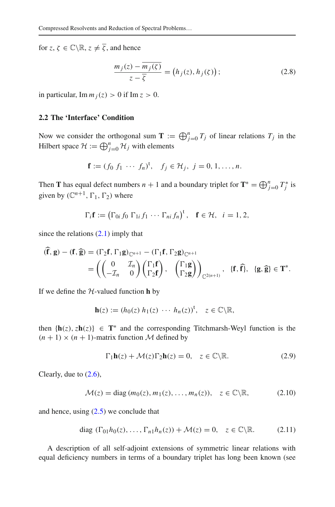for *z*,  $\zeta \in \mathbb{C} \setminus \mathbb{R}, z \neq \overline{\zeta}$ , and hence

<span id="page-6-2"></span>and hence  
\n
$$
\frac{m_j(z) - \overline{m_j(\zeta)}}{z - \overline{\zeta}} = (h_j(z), h_j(\zeta));
$$
\n(2.8)

in particular, Im  $m_i(z) > 0$  if Im  $z > 0$ .

# **2.2 The 'Interface' Condition**

2.2 The 'Interface' Condition<br>Now we consider the orthogonal sum  $\mathbf{T} := \bigoplus_{j=0}^{n} T_j$  of linear relations  $T_j$  in the **2.2 The 'Interface' Condition**<br>Now we consider the orthogonal sum **T** :=<br>Hilbert space  $\mathcal{H} := \bigoplus_{j=0}^{n} \mathcal{H}_j$  with elements

$$
f := (f_0 \ f_1 \ \cdots \ f_n)^t, \quad f_j \in \mathcal{H}_j, \ j = 0, 1, \ldots, n.
$$

**f** :=  $(f_0 f_1 \cdots f_n)^t$ ,  $f_j \in \mathcal{H}_j$ ,  $j = 0, 1, ..., n$ .<br>
Then **T** has equal defect numbers *n* + 1 and a boundary triplet for **T**<sup>∗</sup> =  $\bigoplus_{j=0}^{n} T_j^*$  is given by  $(\mathbb{C}^{n+1}, \Gamma_1, \Gamma_2)$  where *i***defect**<br> $\Gamma_1, \Gamma_2$ <br> $i$ **f** := (

$$
\Gamma_i \mathbf{f} := \left( \Gamma_{0i} \, f_0 \, \Gamma_{1i} \, f_1 \, \cdots \, \Gamma_{ni} \, f_n \right)^{\mathrm{t}}, \quad \mathbf{f} \in \mathcal{H}, \quad i = 1, 2,
$$

since the relations [\(2.1\)](#page-4-1) imply that

Since the relations (2.1) imply that

\n
$$
\begin{aligned}\n\widehat{\mathbf{f}}, \mathbf{g} &= (\Gamma_2 \mathbf{f}, \Gamma_1 \mathbf{g})_{\mathbb{C}^{n+1}} - (\Gamma_1 \mathbf{f}, \Gamma_2 \mathbf{g})_{\mathbb{C}^{n+1}} \\
&= \left( \begin{pmatrix} 0 & \mathcal{I}_n \\ -\mathcal{I}_n & 0 \end{pmatrix} \begin{pmatrix} \Gamma_1 \mathbf{f} \\ \Gamma_2 \mathbf{f} \end{pmatrix}, \begin{pmatrix} \Gamma_1 \mathbf{g} \\ \Gamma_2 \mathbf{g} \end{pmatrix} \right)_{\mathbb{C}^{2(n+1)}}, \{\mathbf{f}, \widehat{\mathbf{f}}\}, \{\mathbf{g}, \widehat{\mathbf{g}}\} \in \mathbf{T}^*.\n\end{aligned}
$$

If we define the *H*-valued function **h** by

$$
\mathbf{h}(z) := (h_0(z) \ h_1(z) \ \cdots \ h_n(z))^\dagger, \quad z \in \mathbb{C} \backslash \mathbb{R},
$$

then  $\{h(z), zh(z)\}\in T^*$  and the corresponding Titchmarsh-Weyl function is the  $(n + 1) \times (n + 1)$ -matrix function M defined by

$$
\Gamma_1 \mathbf{h}(z) + \mathcal{M}(z) \Gamma_2 \mathbf{h}(z) = 0, \quad z \in \mathbb{C} \backslash \mathbb{R}.
$$
 (2.9)

Clearly, due to [\(2.6\)](#page-5-3),

<span id="page-6-0"></span>
$$
\mathcal{M}(z) = \text{diag}(m_0(z), m_1(z), \dots, m_n(z)), \quad z \in \mathbb{C} \backslash \mathbb{R}, \tag{2.10}
$$

and hence, using  $(2.5)$  we conclude that

<span id="page-6-1"></span>diag 
$$
(\Gamma_{01}h_0(z), \dots, \Gamma_{n1}h_n(z)) + \mathcal{M}(z) = 0, \quad z \in \mathbb{C} \setminus \mathbb{R}.
$$
 (2.11)

A description of all self-adjoint extensions of symmetric linear relations with equal deficiency numbers in terms of a boundary triplet has long been known (see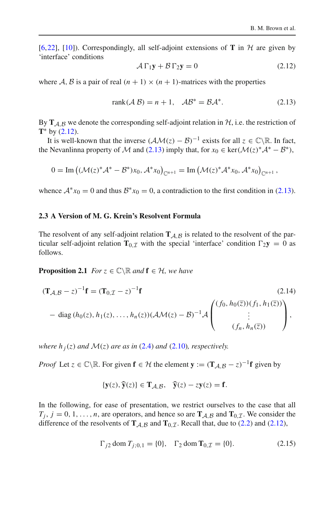[\[6](#page-28-19)[,22](#page-28-20)], [\[10](#page-28-18)]). Correspondingly, all self-adjoint extensions of **T** in  $H$  are given by 'interface' conditions

<span id="page-7-0"></span>
$$
\mathcal{A}\,\Gamma_1\mathbf{y} + \mathcal{B}\,\Gamma_2\mathbf{y} = 0\tag{2.12}
$$

where A, B is a pair of real  $(n + 1) \times (n + 1)$ -matrices with the properties

<span id="page-7-1"></span>
$$
rank(\mathcal{A}\,\mathcal{B}) = n + 1, \quad \mathcal{A}\mathcal{B}^* = \mathcal{B}\mathcal{A}^*.
$$
 (2.13)

By  $T_{A,B}$  we denote the corresponding self-adjoint relation in  $H$ , i.e. the restriction of **T**∗ by [\(2.12\)](#page-7-0).

It is well-known that the inverse  $(\mathcal{AM}(z) - \mathcal{B})^{-1}$  exists for all  $z \in \mathbb{C} \setminus \mathbb{R}$ . In fact,<br>
Nevanlinna property of *M* and (2.13) imply that, for  $x_0 \in \text{ker}(\mathcal{M}(z)^* \mathcal{A}^* - \mathcal{B}^*)$ ,<br>  $0 = \text{Im} ((\mathcal{M}(z)^* \mathcal{A}$ the Nevanlinna property of *M* and [\(2.13\)](#page-7-1) imply that, for  $x_0 \in \text{ker}(\mathcal{M}(z)^* A^* - B^*)$ ,

$$
0 = \text{Im}\left((\mathcal{M}(z)^* \mathcal{A}^* - \mathcal{B}^*) x_0, \mathcal{A}^* x_0\right)_{\mathbb{C}^{n+1}} = \text{Im}\left(\mathcal{M}(z)^* \mathcal{A}^* x_0, \mathcal{A}^* x_0\right)_{\mathbb{C}^{n+1}},
$$

whence  $A^*x_0 = 0$  and thus  $B^*x_0 = 0$ , a contradiction to the first condition in [\(2.13\)](#page-7-1).

#### **2.3 A Version of M. G. Krein's Resolvent Formula**

The resolvent of any self-adjoint relation  $T_{A,B}$  is related to the resolvent of the particular self-adjoint relation  $\mathbf{T}_{0,\mathcal{I}}$  with the special 'interface' condition  $\Gamma_2 \mathbf{y} = 0$  as follows.

**Proposition 2.1** *For*  $z \in \mathbb{C} \setminus \mathbb{R}$  *and*  $f \in \mathcal{H}$ *, we have* 

$$
(\mathbf{T}_{\mathcal{A},\mathcal{B}} - z)^{-1}\mathbf{f} = (\mathbf{T}_{0,\mathcal{I}} - z)^{-1}\mathbf{f}
$$
\n(2.14)  
\n
$$
- \text{ diag}(h_0(z), h_1(z), \dots, h_n(z)) (\mathcal{A}\mathcal{M}(z) - \mathcal{B})^{-1} \mathcal{A} \begin{pmatrix} (f_0, h_0(\overline{z})) (f_1, h_1(\overline{z})) \\ \vdots \\ (f_n, h_n(\overline{z})) \end{pmatrix},
$$

*where h*  $_j(z)$  *and*  $\mathcal{M}(z)$  *are as in* [\(2.4\)](#page-5-4) *and* [\(2.10\)](#page-6-0)*, respectively.* 

*Proof* Let  $z \in \mathbb{C} \setminus \mathbb{R}$ . For given  $f \in \mathcal{H}$  the element  $y := (T_{\mathcal{A}, \mathcal{B}} - z)^{-1}f$  given by **For given <b>f** ∈ H the element **y** :=  $(\mathbf{T}_{A,B}$ <br>{**y**(*z*),  $\hat{\mathbf{y}}(z)$ } ∈  $\mathbf{T}_{A,B}$ ,  $\hat{\mathbf{y}}(z) - z\mathbf{y}(z) = \mathbf{f}$ .

<span id="page-7-3"></span>
$$
\{y(z), \widehat{y}(z)\} \in T_{\mathcal{A}, \mathcal{B}}, \quad \widehat{y}(z) - zy(z) = f.
$$

In the following, for ease of presentation, we restrict ourselves to the case that all  $T_i$ ,  $j = 0, 1, \ldots, n$ , are operators, and hence so are  $T_{A,B}$  and  $T_{0,I}$ . We consider the difference of the resolvents of  $\mathbf{T}_{A,B}$  and  $\mathbf{T}_{0,I}$ . Recall that, due to [\(2.2\)](#page-5-0) and [\(2.12\)](#page-7-0),

<span id="page-7-2"></span>
$$
\Gamma_{j2} \text{ dom } T_{j;0,1} = \{0\}, \quad \Gamma_2 \text{ dom } \mathbf{T}_{0,\mathcal{I}} = \{0\}. \tag{2.15}
$$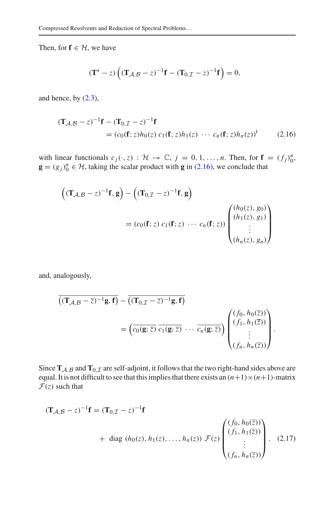Then, for  $f \in H$ , we have

$$
(\mathbf{T}^* - z) \left( (\mathbf{T}_{\mathcal{A}, \mathcal{B}} - z)^{-1} \mathbf{f} - (\mathbf{T}_{0, \mathcal{I}} - z)^{-1} \mathbf{f} \right) = 0,
$$

and hence, by  $(2.3)$ ,

$$
(\mathbf{T}_{\mathcal{A}, \mathcal{B}} - z)^{-1} \mathbf{f} - (\mathbf{T}_{0, \mathcal{I}} - z)^{-1} \mathbf{f}
$$
  
=  $(c_0(\mathbf{f}; z)h_0(z) c_1(\mathbf{f}; z)h_1(z) \cdots c_n(\mathbf{f}; z)h_n(z))^t$  (2.16)

<span id="page-8-0"></span>f

with linear functionals  $c_j(\cdot, z) : \mathcal{H} \to \mathbb{C}, j = 0, 1, \ldots, n$ . Then, for  $\mathbf{f} = (f_j)_0^n$ ,  $\mathbf{g} = (g_j)_0^n \in \mathcal{H}$ , taking the scalar product with **g** in [\(2.16\)](#page-8-0), we conclude that

$$
\left((\mathbf{T}_{\mathcal{A},\mathcal{B}}-z)^{-1}\mathbf{f},\mathbf{g}\right)-\left((\mathbf{T}_{0,\mathcal{I}}-z)^{-1}\mathbf{f},\mathbf{g}\right)
$$
\n
$$
=(c_0(\mathbf{f};z)\ c_1(\mathbf{f};z)\ \cdots\ c_n(\mathbf{f};z))\begin{pmatrix} (h_0(z),g_0) \\ (h_1(z),g_1) \\ \vdots \\ (h_n(z),g_n) \end{pmatrix}
$$

and, analogously,

nalogously,  
\n
$$
\overline{((\mathbf{T}_{\mathcal{A}, \mathcal{B}} - \overline{z})^{-1} \mathbf{g}, \mathbf{f})} - \overline{((\mathbf{T}_{0, \mathcal{I}} - \overline{z})^{-1} \mathbf{g}, \mathbf{f})}
$$
\n
$$
= \left( \overline{c_0(\mathbf{g}; \overline{z})} \overline{c_1(\mathbf{g}; \overline{z})} \cdots \overline{c_n(\mathbf{g}; \overline{z})} \right) \begin{pmatrix} (f_0, h_0(\overline{z})) \\ (f_1, h_1(\overline{z})) \\ \vdots \\ (f_n, h_n(\overline{z})) \end{pmatrix}.
$$

<span id="page-8-1"></span>

Since  $T_{A,B}$  and  $T_{0,I}$  are self-adjoint, it follows that the two right-hand sides above are equal. It is not difficult to see that this implies that there exists an  $(n+1) \times (n+1)$ -matrix  $\mathcal{F}(z)$  such that

$$
(\mathbf{T}_{\mathcal{A}, \mathcal{B}} - z)^{-1} \mathbf{f} = (\mathbf{T}_{0, \mathcal{I}} - z)^{-1} \mathbf{f} + \text{diag} (h_0(z), h_1(z), \dots, h_n(z)) \mathcal{F}(z) \begin{pmatrix} (f_0, h_0(\overline{z})) \\ (f_1, h_1(\overline{z})) \\ \vdots \\ (f_n, h_n(\overline{z})) \end{pmatrix}.
$$
 (2.17)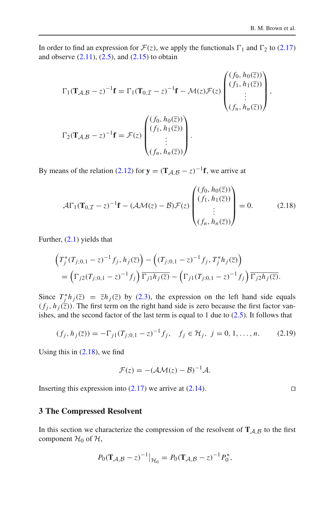In order to find an expression for  $\mathcal{F}(z)$ , we apply the functionals  $\Gamma_1$  and  $\Gamma_2$  to [\(2.17\)](#page-8-1) and observe  $(2.11)$ ,  $(2.5)$ , and  $(2.15)$  to obtain

$$
\Gamma_1(\mathbf{T}_{\mathcal{A}, \mathcal{B}} - z)^{-1} \mathbf{f} = \Gamma_1(\mathbf{T}_{0, \mathcal{I}} - z)^{-1} \mathbf{f} - \mathcal{M}(z) \mathcal{F}(z) \begin{pmatrix} (f_0, h_0(\overline{z})) \\ (f_1, h_1(\overline{z})) \\ \vdots \\ (f_n, h_n(\overline{z})) \end{pmatrix},
$$

$$
\Gamma_2(\mathbf{T}_{\mathcal{A}, \mathcal{B}} - z)^{-1} \mathbf{f} = \mathcal{F}(z) \begin{pmatrix} (f_0, h_0(\overline{z})) \\ (f_1, h_1(\overline{z})) \\ \vdots \\ (f_n, h_n(\overline{z})) \end{pmatrix}.
$$

By means of the relation [\(2.12\)](#page-7-0) for  $\mathbf{y} = (\mathbf{T}_{A,B} - z)^{-1}\mathbf{f}$ , we arrive at ive

$$
\mathcal{A}\Gamma_1(\mathbf{T}_{0,\mathcal{I}}-z)^{-1}\mathbf{f} - (\mathcal{A}\mathcal{M}(z)-\mathcal{B})\mathcal{F}(z)\begin{pmatrix} (f_0, h_0(\overline{z})) \\ (f_1, h_1(\overline{z})) \\ \vdots \\ (f_n, h_n(\overline{z})) \end{pmatrix} = 0.
$$
 (2.18)

Further,  $(2.1)$  yields that

$$
\left(T_j^*(T_{j;0,1}-z)^{-1}f_j, h_j(\overline{z})\right) - \left((T_{j;0,1}-z)^{-1}f_j, T_j^*h_j(\overline{z})\right)
$$
  
= 
$$
\left(\Gamma_{j2}(T_{j;0,1}-z)^{-1}f_j\right)\overline{\Gamma_{j1}h_j(\overline{z})} - \left(\Gamma_{j1}(T_{j;0,1}-z)^{-1}f_j\right)\overline{\Gamma_{j2}h_j(\overline{z})}.
$$

Since  $T_j^* h_j(\bar{z}) = \bar{z} h_j(\bar{z})$  by [\(2.3\)](#page-5-1), the expression on the left hand side equals  $(f_j, h_j(\overline{z}))$ . The first term on the right hand side is zero because the first factor vanishes, and the second factor of the last term is equal to 1 due to [\(2.5\)](#page-5-2). It follows that

<span id="page-9-2"></span>
$$
(f_j, h_j(\overline{z})) = -\Gamma_{j1}(T_{j;0,1} - z)^{-1} f_j, \quad f_j \in \mathcal{H}_j, \ j = 0, 1, \dots, n. \tag{2.19}
$$

Using this in  $(2.18)$ , we find

$$
\mathcal{F}(z) = -(\mathcal{AM}(z) - \mathcal{B})^{-1}\mathcal{A}.
$$

Inserting this expression into  $(2.17)$  we arrive at  $(2.14)$ .

# <span id="page-9-0"></span>**3 The Compressed Resolvent**

In this section we characterize the compression of the resolvent of  $\mathbf{T}_{\mathcal{A},\mathcal{B}}$  to the first component  $H_0$  of  $H$ ,

$$
P_0(\mathbf{T}_{\mathcal{A},\mathcal{B}}-z)^{-1}\big|_{\mathcal{H}_0}=P_0(\mathbf{T}_{\mathcal{A},\mathcal{B}}-z)^{-1}P_0^*,
$$

<span id="page-9-1"></span> $\Box$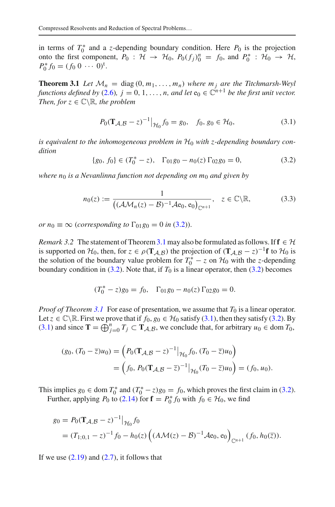in terms of  $T_0^*$  and a *z*-depending boundary condition. Here  $P_0$  is the projection onto the first component,  $P_0$ :  $H \rightarrow H_0$ ,  $P_0(f_j)_{0}^n = f_0$ , and  $P_0^* : H_0 \rightarrow H$ ,  $P_0^* f_0 = (f_0 \ 0 \ \cdots \ 0)^{\dagger}.$ 

<span id="page-10-0"></span>**Theorem 3.1** *Let*  $\mathcal{M}_n = \text{diag}(0, m_1, \dots, m_n)$  where  $m_j$  are the Titchmarsh-Weyl *functions defined by* [\(2.6\)](#page-5-3),  $j = 0, 1, ..., n$ , and let  $e_0 \in \mathbb{C}^{n+1}$  *be the first unit vector. Then, for*  $z \in \mathbb{C} \backslash \mathbb{R}$ *, the problem* 

<span id="page-10-2"></span>
$$
P_0(\mathbf{T}_{\mathcal{A}, \mathcal{B}} - z)^{-1} \big|_{\mathcal{H}_0} f_0 = g_0, \quad f_0, g_0 \in \mathcal{H}_0,\tag{3.1}
$$

*is equivalent to the inhomogeneous problem in H*<sup>0</sup> *with z-depending boundary condition*

<span id="page-10-1"></span>
$$
\{g_0, f_0\} \in (T_0^* - z), \quad \Gamma_{01}g_0 - n_0(z) \Gamma_{02}g_0 = 0,\tag{3.2}
$$

*where n*<sup>0</sup> *is a Nevanlinna function not depending on m*<sup>0</sup> *and given by* 

<span id="page-10-3"></span>
$$
n_0(z) := \frac{1}{\left( (\mathcal{A}\mathcal{M}_n(z) - \mathcal{B})^{-1} \mathcal{A}e_0, e_0 \right)_{\mathbb{C}^{n+1}}}, \quad z \in \mathbb{C} \backslash \mathbb{R}, \tag{3.3}
$$

*or*  $n_0 \equiv \infty$  (*corresponding to*  $\Gamma_{01}g_0 = 0$  *in* [\(3.2\)](#page-10-1)).

*Remark 3.2* The statement of Theorem [3.1](#page-10-0) may also be formulated as follows. If  $f \in H$ is supported on  $\mathcal{H}_0$ , then, for  $z \in \rho(\mathbf{T}_{\mathcal{A},\mathcal{B}})$  the projection of  $(\mathbf{T}_{\mathcal{A},\mathcal{B}} - z)^{-1}$ **f** to  $\mathcal{H}_0$  is the solution of the boundary value problem for  $T_0^* - z$  on  $\mathcal{H}_0$  with the *z*-depending boundary condition in  $(3.2)$ . Note that, if  $T_0$  is a linear operator, then  $(3.2)$  becomes

$$
(T_0^* - z)g_0 = f_0, \quad \Gamma_{01}g_0 - n_0(z) \Gamma_{02}g_0 = 0.
$$

*Proof of Theorem [3.1](#page-10-0)* For ease of presentation, we assume that  $T_0$  is a linear operator. Let  $z \in \mathbb{C} \setminus \mathbb{R}$ . First we prove that if  $f_0, g_0 \in \mathcal{H}_0$  satisfy [\(3.1\)](#page-10-2), then they satisfy [\(3.2\)](#page-10-1). By ( $T_0 - z$ ) $g_0 = J_0$ ,  $T_0 + T_1$   $f_0 + g_0$  = 0.<br> *Proof of Theorem 3.1* For ease of presentation, we assume that  $T_0$  is a linear operator<br>
Let  $z \in \mathbb{C} \setminus \mathbb{R}$ . First we prove that if  $f_0, g_0 \in \mathcal{H}_0$  satisfy [\(3.1\)](#page-10-2),

$$
(g_0, (T_0 - \overline{z})u_0) = (P_0(\mathbf{T}_{\mathcal{A}, \mathcal{B}} - z)^{-1}|_{\mathcal{H}_0} f_0, (T_0 - \overline{z})u_0)
$$
  
=  $(f_0, P_0(\mathbf{T}_{\mathcal{A}, \mathcal{B}} - \overline{z})^{-1}|_{\mathcal{H}_0} (T_0 - \overline{z})u_0) = (f_0, u_0).$ 

This implies  $g_0 \in \text{dom } T_0^*$  and  $(T_0^* - z)g_0 = f_0$ , which proves the first claim in [\(3.2\)](#page-10-1).  $\overline{a}$ 

Further, applying *P*<sub>0</sub> to [\(2.14\)](#page-7-3) for **f** =  $P_0^* f_0$  with  $f_0 \in H_0$ , we find

$$
g_0 = P_0(\mathbf{T}_{\mathcal{A}, \mathcal{B}} - z)^{-1} \big|_{\mathcal{H}_0} f_0
$$
  
=  $(T_{1;0,1} - z)^{-1} f_0 - h_0(z) \left( (A\mathcal{M}(z) - \mathcal{B})^{-1} \mathcal{A}e_0, e_0 \right)_{\mathbb{C}^{n+1}} (f_0, h_0(\overline{z})).$ 

If we use  $(2.19)$  and  $(2.7)$ , it follows that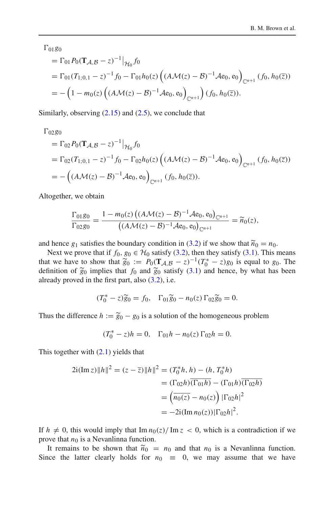Ξ

 $\Gamma_{01}$ *g*<sub>0</sub>

$$
= \Gamma_{01} P_0 (\mathbf{T}_{\mathcal{A}, \mathcal{B}} - z)^{-1} |_{\mathcal{H}_0} f_0
$$
  
=  $\Gamma_{01} (T_{1;0,1} - z)^{-1} f_0 - \Gamma_{01} h_0(z) \left( (A \mathcal{M}(z) - \mathcal{B})^{-1} A e_0, e_0 \right)_{\mathbb{C}^{n+1}} (f_0, h_0(\overline{z}))$   
=  $- \left( 1 - m_0(z) \left( (A \mathcal{M}(z) - \mathcal{B})^{-1} A e_0, e_0 \right)_{\mathbb{C}^{n+1}} \right) (f_0, h_0(\overline{z})).$ 

Ξ

Similarly, observing  $(2.15)$  and  $(2.5)$ , we conclude that

 $\Gamma_{02}$ *g*<sub>0</sub>

$$
= \Gamma_{02} P_0(\mathbf{T}_{\mathcal{A}, \mathcal{B}} - z)^{-1} \big|_{\mathcal{H}_0} f_0
$$
  
=  $\Gamma_{02} (T_{1;0,1} - z)^{-1} f_0 - \Gamma_{02} h_0(z) \left( (A \mathcal{M}(z) - \mathcal{B})^{-1} A e_0, e_0 \right)_{\mathbb{C}^{n+1}} (f_0, h_0(\overline{z}))$   
=  $- \left( (A \mathcal{M}(z) - \mathcal{B})^{-1} A e_0, e_0 \right)_{\mathbb{C}^{n+1}} (f_0, h_0(\overline{z})).$ 

Altogether, we obtain

Altogether, we obtain  
\n
$$
\frac{\Gamma_{01}g_0}{\Gamma_{02}g_0} = \frac{1 - m_0(z) \left( (A\mathcal{M}(z) - \mathcal{B})^{-1} \mathcal{A}e_0, e_0 \right)_{\mathbb{C}^{n+1}}}{\left( (A\mathcal{M}(z) - \mathcal{B})^{-1} \mathcal{A}e_0, e_0 \right)_{\mathbb{C}^{n+1}}} = \widetilde{n}_0(z),
$$
\nand hence  $g_1$  satisfies the boundary condition in (3.2) if we show that  $\widetilde{n}_0 = n_0$ .

Next we prove that if  $f_0, g_0 \in H_0$  satisfy [\(3.2\)](#page-10-1), then they satisfy [\(3.1\)](#page-10-2). This means and hence  $g_1$  satisfies the boundary condition in (3.2) if we show that  $\tilde{n}_0 = n_0$ .<br>Next we prove that if  $f_0, g_0 \in H_0$  satisfy (3.2), then they satisfy (3.1). This means<br>that we have to show that  $\tilde{g}_0 := P_0(\mathbf{T}_{\math$ and hence  $g_1$  satisfies the boundary con<br>Next we prove that if  $f_0, g_0 \in \mathcal{H}_0$  sat<br>that we have to show that  $\tilde{g}_0 := P_0(1)$ <br>definition of  $\tilde{g}_0$  implies that  $f_0$  and  $\tilde{g}_0$ ies that  $f_0$  and  $\tilde{g}_0$  satisfy [\(3.1\)](#page-10-2) and hence, by what has been<br>first part, also (3.2), i.e.<br> $\tilde{g}_0^* - z\tilde{g}_0 = f_0$ ,  $\Gamma_{01}\tilde{g}_0 - n_0(z)\Gamma_{02}\tilde{g}_0 = 0$ . already proved in the first part, also  $(3.2)$ , i.e.

$$
(T_0^* - z)\widetilde{g}_0 = f_0, \quad \Gamma_{01}\widetilde{g}_0 - n_0(z)\Gamma_{02}\widetilde{g}_0 = 0.
$$

 $(T_0^* - z)\widetilde{g}_0 = f_0$ ,  $\Gamma_{01}\widetilde{g}_0 - n_0(z)\Gamma_{02}\widetilde{g}_0 = 0$ .<br>Thus the difference  $h := \widetilde{g}_0 - g_0$  is a solution of the homogeneous problem

$$
(T_0^* - z)h = 0, \quad \Gamma_{01}h - n_0(z)\Gamma_{02}h = 0.
$$

This together with  $(2.1)$  yields that

$$
2i(\text{Im } z) \|h\|^2 = (z - \overline{z}) \|h\|^2 = (T_0^* h, h) - (h, T_0^* h)
$$
  
=  $(\Gamma_{02}h)\overline{(\Gamma_{01}h)} - (\Gamma_{01}h)\overline{(\Gamma_{02}h)}$   
=  $(\overline{n_0(z)} - n_0(z)) |\Gamma_{02}h|^2$   
=  $-2i(\text{Im } n_0(z)) |\Gamma_{02}h|^2$ .

If  $h \neq 0$ , this would imply that  $\text{Im } n_0(z)/\text{Im } z < 0$ , which is a contradiction if we prove that  $n_0$  is a Nevanlinna function.  $h \neq 0$ , this would imply that Im<br>we that  $n_0$  is a Nevanlinna functi<br>It remains to be shown that  $\tilde{n}_0$ 

It remains to be shown that  $\tilde{n}_0 = n_0$  and that  $n_0$  is a Nevanlinna function. Since the latter clearly holds for  $n_0 \equiv 0$ , we may assume that we have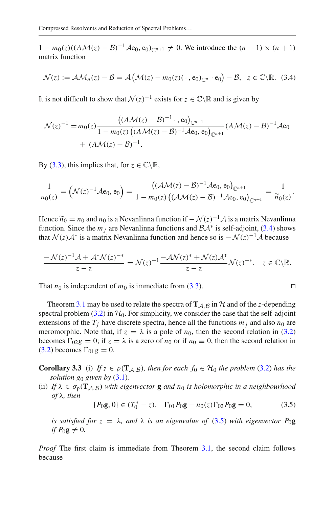*M*(*z*) := *AM<sub>n</sub>*(*z*) − *B*)<sup>−1</sup>*A*e<sub>0</sub>, e<sub>0</sub>)<sub>*c*<sub>n+1</sub></sub> ≠ 0. We introduce the (*n* + 1) × (*n* + 1) matrix function<br>  $\mathcal{N}(z) := \mathcal{AM}_n(z) - \mathcal{B} = \mathcal{A}(\mathcal{M}(z) - m_0(z)(\cdot, e_0)_{\mathbb{C}^{n+1}}e_0) - \mathcal{B}, \ z \in \mathbb{C} \setminus \mathbb{R}.$ matrix function

$$
\mathcal{N}(z) := \mathcal{AM}_n(z) - \mathcal{B} = \mathcal{A}\left(\mathcal{M}(z) - m_0(z)(\,\cdot\,,\mathrm{e}_0)_{\mathbb{C}^{n+1}}\mathrm{e}_0\right) - \mathcal{B}, \ \ z \in \mathbb{C}\backslash\mathbb{R}.\tag{3.4}
$$

It is not difficult to show that  $\mathcal{N}(z)^{-1}$  exists for  $z \in \mathbb{C} \setminus \mathbb{R}$  and is given by

$$
\mathcal{N}(z)^{-1} = m_0(z) \frac{\left((A\mathcal{M}(z) - B)^{-1} \cdot e_0\right)_{\mathbb{C}^{n+1}}}{1 - m_0(z) \left((A\mathcal{M}(z) - B)^{-1}\mathcal{A}e_0, e_0\right)_{\mathbb{C}^{n+1}}} (A\mathcal{M}(z) - B)^{-1}\mathcal{A}e_0
$$
  
+  $(A\mathcal{M}(z) - B)^{-1}.$ 

By [\(3.3\)](#page-10-3), this implies that, for  $z \in \mathbb{C} \backslash \mathbb{R}$ ,

$$
\frac{1}{n_0(z)} = \left(\mathcal{N}(z)^{-1}\mathcal{A}e_0, e_0\right) = \frac{\left((\mathcal{A}\mathcal{M}(z) - \mathcal{B})^{-1}\mathcal{A}e_0, e_0\right)_{\mathbb{C}^{n+1}}}{1 - m_0(z)\left((\mathcal{A}\mathcal{M}(z) - \mathcal{B})^{-1}\mathcal{A}e_0, e_0\right)_{\mathbb{C}^{n+1}}} = \frac{1}{\widetilde{n}_0(z)}.
$$
  
Hence  $\widetilde{n}_0 = n_0$  and  $n_0$  is a Nevanlinna function if  $-\mathcal{N}(z)^{-1}\mathcal{A}$  is a matrix Nevanlinna

function. Since the  $m_i$  are Nevanlinna functions and  $\beta A^*$  is self-adjoint, [\(3.4\)](#page-12-0) shows that  $\mathcal{N}(z) \mathcal{A}^*$  is a matrix Nevanlinna function and hence so is  $-\mathcal{N}(z)^{-1} \mathcal{A}$  because

$$
\frac{-\mathcal{N}(z)^{-1}\mathcal{A}+\mathcal{A}^*\mathcal{N}(z)^{-*}}{z-\overline{z}}=\mathcal{N}(z)^{-1}\frac{-\mathcal{A}\mathcal{N}(z)^*+\mathcal{N}(z)\mathcal{A}^*}{z-\overline{z}}\mathcal{N}(z)^{-*},\quad z\in\mathbb{C}\backslash\mathbb{R}.
$$

That  $n_0$  is independent of  $m_0$  is immediate from [\(3.3\)](#page-10-3).

Theorem [3.1](#page-10-0) may be used to relate the spectra of  $T_{A,B}$  in  $H$  and of the *z*-depending spectral problem  $(3.2)$  in  $H_0$ . For simplicity, we consider the case that the self-adjoint extensions of the  $T_i$  have discrete spectra, hence all the functions  $m_i$  and also  $n_0$  are meromorphic. Note that, if  $z = \lambda$  is a pole of  $n_0$ , then the second relation in [\(3.2\)](#page-10-1) becomes  $\Gamma_{02}g = 0$ ; if  $z = \lambda$  is a zero of  $n_0$  or if  $n_0 \equiv 0$ , then the second relation in  $(3.2)$  becomes  $\Gamma_{01}g = 0$ .

**Corollary 3.3** (i) *If*  $z \in \rho(\mathbf{T}_{A,B})$ *, then for each f*<sub>0</sub>  $\in \mathcal{H}_0$  *the problem* [\(3.2\)](#page-10-1) *has the solution g*<sup>0</sup> *given by* [\(3.1\)](#page-10-2)*.*

(ii) If  $\lambda \in \sigma_p(T_{\mathcal{A}, \mathcal{B}})$  with eigenvector **g** and  $n_0$  is holomorphic in a neighbourhood *of* λ*, then*

<span id="page-12-1"></span>
$$
\{P_0\mathbf{g}, 0\} \in (T_0^* - z), \quad \Gamma_{01} P_0\mathbf{g} - n_0(z)\Gamma_{02} P_0\mathbf{g} = 0,\tag{3.5}
$$

*is satisfied for*  $z = \lambda$ *, and*  $\lambda$  *is an eigenvalue of* [\(3.5\)](#page-12-1) *with eigenvector*  $P_0$ **g** *if*  $P_0$ **g**  $\neq$  0*.* 

*Proof* The first claim is immediate from Theorem [3.1,](#page-10-0) the second claim follows because

<span id="page-12-0"></span>
$$
\Box
$$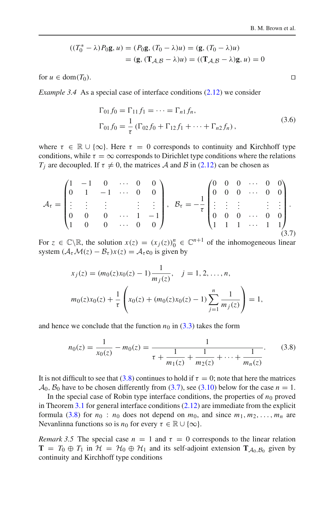$$
((T_0^* - \lambda)P_0\mathbf{g}, u) = (P_0\mathbf{g}, (T_0 - \lambda)u) = (\mathbf{g}, (T_0 - \lambda)u)
$$

$$
= (\mathbf{g}, (\mathbf{T}_{\mathcal{A}, \mathcal{B}} - \lambda)u) = ((\mathbf{T}_{\mathcal{A}, \mathcal{B}} - \lambda)\mathbf{g}, u) = 0
$$

<span id="page-13-4"></span>for  $u \in \text{dom}(T_0)$ .

*Example 3.4* As a special case of interface conditions [\(2.12\)](#page-7-0) we consider

<span id="page-13-2"></span>
$$
\Gamma_{01} f_0 = \Gamma_{11} f_1 = \dots = \Gamma_{n1} f_n,
$$
  
\n
$$
\Gamma_{01} f_0 = \frac{1}{\tau} (\Gamma_{02} f_0 + \Gamma_{12} f_1 + \dots + \Gamma_{n2} f_n),
$$
\n(3.6)

where  $\tau \in \mathbb{R} \cup \{\infty\}$ . Here  $\tau = 0$  corresponds to continuity and Kirchhoff type conditions, while  $\tau = \infty$  corresponds to Dirichlet type conditions where the relations  $T_{\text{c}}$  are decoupled If  $\tau \neq 0$ , the matrices  $\Lambda$  and  $\mathcal{B}$  in (2.12) can be chosen as *T<sub>j</sub>* are decoupled. If  $\tau \neq 0$ , the matrices *A* and *B* in [\(2.12\)](#page-7-0) can be chosen as  $\frac{1}{3}$  $\frac{12}{12}$ 

<span id="page-13-1"></span>
$$
\mathcal{A}_{\tau} = \begin{pmatrix} 1 & -1 & 0 & \cdots & 0 & 0 \\ 0 & 1 & -1 & \cdots & 0 & 0 \\ \vdots & \vdots & \vdots & & \vdots & \vdots \\ 0 & 0 & 0 & \cdots & 1 & -1 \\ 1 & 0 & 0 & \cdots & 0 & 0 \end{pmatrix}, \quad \mathcal{B}_{\tau} = -\frac{1}{\tau} \begin{pmatrix} 0 & 0 & 0 & \cdots & 0 & 0 \\ 0 & 0 & 0 & \cdots & 0 & 0 \\ \vdots & \vdots & \vdots & & \vdots & \vdots \\ 0 & 0 & 0 & \cdots & 0 & 0 \\ 1 & 1 & 1 & \cdots & 1 & 1 \end{pmatrix}.
$$
\n(3.7)

For  $z \in \mathbb{C} \setminus \mathbb{R}$ , the solution  $x(z) = (x_j(z))^n_0 \in \mathbb{C}^{n+1}$  of the inhomogeneous linear system  $(A_{\tau} \mathcal{M}(z) - \mathcal{B}_{\tau}) x(z) = \mathcal{A}_{\tau} e_0$  is given by

$$
x_j(z) = (m_0(z)x_0(z) - 1)\frac{1}{m_j(z)}, \quad j = 1, 2, ..., n,
$$
  

$$
m_0(z)x_0(z) + \frac{1}{\tau} \left( x_0(z) + (m_0(z)x_0(z) - 1) \sum_{j=1}^n \frac{1}{m_j(z)} \right) = 1,
$$

and hence we conclude that the function  $n_0$  in [\(3.3\)](#page-10-3) takes the form

<span id="page-13-0"></span>
$$
n_0(z) = \frac{1}{x_0(z)} - m_0(z) = \frac{1}{\tau + \frac{1}{m_1(z)} + \frac{1}{m_2(z)} + \dots + \frac{1}{m_n(z)}}.
$$
(3.8)

It is not difficult to see that [\(3.8\)](#page-13-0) continues to hold if  $\tau = 0$ ; note that here the matrices  $\mathcal{A}_0$ ,  $\mathcal{B}_0$  have to be chosen differently from [\(3.7\)](#page-13-1), see [\(3.10\)](#page-14-2) below for the case  $n = 1$ .

In the special case of Robin type interface conditions, the properties of  $n_0$  proved in Theorem  $3.1$  for general interface conditions  $(2.12)$  are immediate from the explicit formula [\(3.8\)](#page-13-0) for  $n_0$ :  $n_0$  does not depend on  $m_0$ , and since  $m_1, m_2, \ldots, m_n$  are Nevanlinna functions so is  $n_0$  for every  $\tau \in \mathbb{R} \cup \{\infty\}.$ 

<span id="page-13-3"></span>*Remark 3.5* The special case  $n = 1$  and  $\tau = 0$  corresponds to the linear relation **T** =  $T_0 \oplus T_1$  in  $H = H_0 \oplus H_1$  and its self-adjoint extension  $T_{A_0, B_0}$  given by continuity and Kirchhoff type conditions

 $\Box$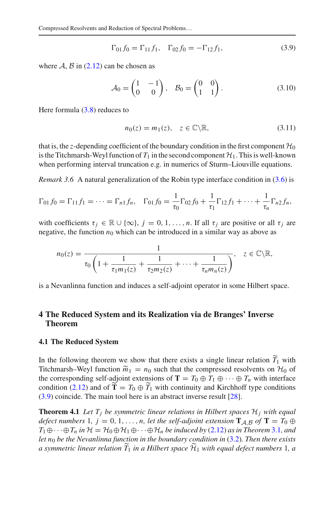<span id="page-14-3"></span>
$$
\Gamma_{01} f_0 = \Gamma_{11} f_1, \quad \Gamma_{02} f_0 = -\Gamma_{12} f_1,\tag{3.9}
$$

where  $A$ ,  $B$  in [\(2.12\)](#page-7-0) can be chosen as

<span id="page-14-2"></span>
$$
\Gamma_{01} f_0 = \Gamma_{11} f_1, \quad \Gamma_{02} f_0 = -\Gamma_{12} f_1,
$$
\n(3.9)

\nn be chosen as

\n
$$
\mathcal{A}_0 = \begin{pmatrix} 1 & -1 \\ 0 & 0 \end{pmatrix}, \quad \mathcal{B}_0 = \begin{pmatrix} 0 & 0 \\ 1 & 1 \end{pmatrix}.
$$

Here formula [\(3.8\)](#page-13-0) reduces to

$$
n_0(z) = m_1(z), \quad z \in \mathbb{C} \backslash \mathbb{R}, \tag{3.11}
$$

that is, the *z*-depending coefficient of the boundary condition in the first component  $\mathcal{H}_0$ is the Titchmarsh-Weyl function of  $T_1$  in the second component  $H_1$ . This is well-known when performing interval truncation e.g. in numerics of Sturm–Liouville equations.

*Remark 3.6* A natural generalization of the Robin type interface condition in [\(3.6\)](#page-13-2) is

$$
\Gamma_{01} f_0 = \Gamma_{11} f_1 = \cdots = \Gamma_{n1} f_n, \quad \Gamma_{01} f_0 = \frac{1}{\tau_0} \Gamma_{02} f_0 + \frac{1}{\tau_1} \Gamma_{12} f_1 + \cdots + \frac{1}{\tau_n} \Gamma_{n2} f_n,
$$

with coefficients  $\tau_j \in \mathbb{R} \cup \{\infty\}$ ,  $j = 0, 1, ..., n$ . If all  $\tau_j$  are positive or all  $\tau_j$  are negative, the function  $n_0$  which can be introduced in a similar way as above as

$$
n_0(z) = \frac{1}{\tau_0 \left(1 + \frac{1}{\tau_1 m_1(z)} + \frac{1}{\tau_2 m_2(z)} + \dots + \frac{1}{\tau_n m_n(z)}\right)}, \quad z \in \mathbb{C} \backslash \mathbb{R},
$$

is a Nevanlinna function and induces a self-adjoint operator in some Hilbert space.

# <span id="page-14-1"></span>**4 The Reduced System and its Realization via de Branges' Inverse Theorem**

#### **4.1 The Reduced System**

In the following theorem we show that there exists a single linear relation  $T_1$  with **4.1 The Reduced System**<br>In the following theorem we<br>Titchmarsh–Weyl function  $\tilde{m}$ Titchmarsh–Weyl function  $\tilde{m}_1 = n_0$  such that the compressed resolvents on  $\mathcal{H}_0$  of the corresponding self-adjoint extensions of **T** =  $T_0 \oplus T_1 \oplus \cdots \oplus T_n$  with interface In the following theorem we show that there exists a single linear relation  $\widetilde{T}_1$  with Titchmarsh–Weyl function  $\widetilde{m}_1 = n_0$  such that the compressed resolvents on  $\mathcal{H}_0$  of the corresponding self-adjoint extensi -[\(3.9\)](#page-14-3) coincide. The main tool here is an abstract inverse result [\[28](#page-28-10)].

<span id="page-14-0"></span>**Theorem 4.1** Let  $T_i$  be symmetric linear relations in Hilbert spaces  $H_i$  with equal *defect numbers* 1*, j* = 0, 1, ..., *n, let the self-adjoint extension*  $\mathbf{T}_{A,B}$  *of*  $\mathbf{T} = T_0 \oplus T_1$  $T_1 \oplus \cdots \oplus T_n$  *in*  $\mathcal{H} = \mathcal{H}_0 \oplus \mathcal{H}_1 \oplus \cdots \oplus \mathcal{H}_n$  *be induced by* [\(2.12\)](#page-7-0) *as in Theorem* [3.1](#page-10-0)*, and let n*<sup>0</sup> *be the Nevanlinna function in the boundary condition in* [\(3.2\)](#page-10-1)*. Then there exists a defect numbers* 1*, j* = 0, 1, ..., *n*, *let the self-adjoint extension*  $\mathbf{T}_{A,B}$  *of*  $\mathbf{T} = T_0 \oplus T_1 \oplus \cdots \oplus T_n$  *in*  $\mathcal{H} = \mathcal{H}_0 \oplus \mathcal{H}_1 \oplus \cdots \oplus \mathcal{H}_n$  *be induced by* (2.12) *as in Theorem 3.1, and let*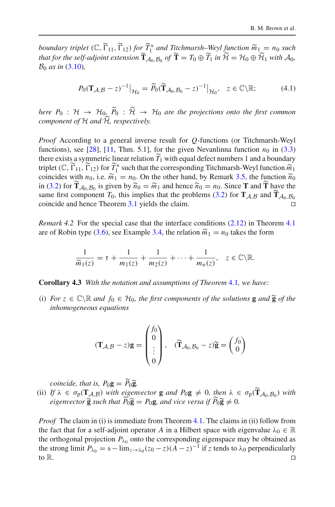**boundary triplet** ( $\mathbb{C}$ ,  $\widetilde{\Gamma}_{11}$ ,  $\widetilde{\Gamma}_{12}$ ) for  $\widetilde{T}_1^*$  and Titchmarsh–Weyl function  $\widetilde{m}_1 = n_0$  such **that for the self-adjoint extension**  $\widetilde{\mathbf{T}}_{A_0, B_0}^*$  of  $\widetilde{\mathbf{T}} = T_0 \oplus \widetilde{T}_1$  in  $\widetilde{\mathcal{H}} = \mathcal{H}_0 \oplus \widetilde{\mathcal{H}}$ <br>that for the self-adjoint extension  $\widetilde{\mathbf{T}}_{A_0, B_0}$  of  $\widetilde{\mathbf{T}} = T_0 \oplus \widetilde{T}_1$  in  $\widetilde$ *T*<sub>*A*<sub>0</sub>,*B*<sub>0</sub> *of*  $\widetilde{\mathbf{T}} = T_0 \oplus \widetilde{T}_1$  *in*  $\widetilde{\mathcal{H}} = \mathcal{H}_0 \oplus \widetilde{\mathcal{H}}_1$  *with A*<sub>0</sub>,<br>  $\vert_{\mathcal{H}_0} = \widetilde{P}_0(\widetilde{\mathbf{T}}_{\mathcal{A}_0,\mathcal{B}_0} - z)^{-1} \vert_{\mathcal{H}_0}, \quad z \in \mathbb{C} \backslash \mathbb{R};$  (4.1)</sub> *B*<sup>0</sup> *as in* [\(3.10\)](#page-14-2)*,*

<span id="page-15-0"></span>
$$
P_0(\mathbf{T}_{\mathcal{A}, \mathcal{B}} - z)^{-1}|_{\mathcal{H}_0} = \widetilde{P}_0(\widetilde{\mathbf{T}}_{\mathcal{A}_0, \mathcal{B}_0} - z)^{-1}|_{\mathcal{H}_0}, \quad z \in \mathbb{C} \backslash \mathbb{R};\tag{4.1}
$$
  
where  $P_0: \mathcal{H} \to \mathcal{H}_0, \widetilde{P}_0: \widetilde{\mathcal{H}} \to \mathcal{H}_0$  are the projections onto the first common

 $P_0(\mathbf{T}_{\mathcal{A}, \mathcal{B}} - \theta)$ <br>*here*  $P_0 : \mathcal{H} \to \mathcal{H}_{0,\mathcal{L}}$ <br>*component of*  $\mathcal{H}$  and  $\widetilde{\mathcal{H}}$ *component of H and H, respectively.* 

*Proof* According to a general inverse result for *Q*-functions (or Titchmarsh-Weyl -functions), see [\[28\]](#page-28-10), [\[11](#page-28-11), Thm. 5.1], for the given Nevanlinna function  $n_0$  in [\(3.3\)](#page-10-3) there exists a symmetric linear relation  $T_1$  with equal defect numbers 1 and a boundary *Proof* According to a general inverse result for *Q*-functions (or Titchmarsh-Weyl functions), see [28], [11, Thm. 5.1], for the given Nevanlinna function *n*<sub>0</sub> in (3.3) there exists a symmetric linear relation  $\widetilde{T}_1$ functions), see [28], [11, Thm. 5.1], for the given Nevanlinna function  $n_0$  in (3.3)<br>there exists a symmetric linear relation  $\widetilde{T}_1$  with equal defect numbers 1 and a boundary<br>triplet (C,  $\widetilde{T}_{11}$ ,  $\widetilde{T}_{12}$ ) fo coincides with  $n_0$ , i.e.  $\widetilde{m}_1 = n_0$ . On the other hand, by Remark 3.5, the function  $\widetilde{n}_0$ there exists a symmetric linear relation  $\tilde{T}_1$  with equal defect numbers 1 and a boundary<br>triplet ( $\mathbb{C}$ ,  $\tilde{\Gamma}_{11}$ ,  $\tilde{\Gamma}_{12}$ ) for  $\tilde{T}_1^*$  such that the corresponding Titchmarsh-Weyl function  $\tilde{m}_1$ <br>coinc triplet (C,  $\tilde{\Gamma}_{11}$ ,  $\tilde{\Gamma}_{12}$ ) for  $\tilde{T}_1^*$  such that the corresponding Titchmarsh-Weyl function coincides with  $n_0$ , i.e.  $\tilde{m}_1 = n_0$ . On the other hand, by Remark 3.5, the function in [\(3.2\)](#page-10-1) for  $\tilde{\Gamma}_{A_0, B_$ same first component  $T_0$ , this implies that the problems (3.2) for  $T_A B_B$  and  $T_{A_0 B_0}$ coincide and hence Theorem [3.1](#page-10-0) yields the claim.  $\Box$ 

*Remark 4.2* For the special case that the interface conditions [\(2.12\)](#page-7-0) in Theorem [4.1](#page-14-0) coincide and hence Theorem 3.1 yields the claim.<br> *Remark* 4.2 For the special case that the interface conditions (2.12) in Theorem are of Robin type [\(3.6\)](#page-13-2), see Example [3.4,](#page-13-4) the relation  $\tilde{m}_1 = n_0$  takes the form

1 type (3.6), see Example 3.4, the relation 
$$
\tilde{m}_1 = n_0
$$
 takes the  

$$
\frac{1}{\tilde{m}_1(z)} = \tau + \frac{1}{m_1(z)} + \frac{1}{m_2(z)} + \dots + \frac{1}{m_n(z)}, \quad z \in \mathbb{C} \backslash \mathbb{R}.
$$

**Corollary 4.3** *With the notation and assumptions of Theorem* [4.1](#page-14-0)*, we have:*

**Corollary 4.3** With the notation and assumptions of Theorem 4.1, we have:<br>(i) For  $z \in \mathbb{C} \setminus \mathbb{R}$  and  $f_0 \in \mathcal{H}_0$ , the first components of the solutions **g** and **g** of the *inhomogeneous equations*

$$
(\mathbf{T}_{\mathcal{A}, \mathcal{B}} - z)\mathbf{g} = \begin{pmatrix} f_0 \\ 0 \\ \vdots \\ 0 \end{pmatrix}, \quad (\widetilde{\mathbf{T}}_{\mathcal{A}_0, \mathcal{B}_0} - z)\widetilde{\mathbf{g}} = \begin{pmatrix} f_0 \\ 0 \\ 0 \end{pmatrix}
$$
  
coincide, that is,  $P_0 \mathbf{g} = \widetilde{P}_0 \widetilde{\mathbf{g}}$ .

(i)  $If \lambda \in \sigma_p(\mathbf{T}_{\mathcal{A},\mathcal{B}})$  *with eigenvector* **g** *and*  $P_0 \mathbf{g} \neq 0$ , *then*  $\lambda \in \sigma_p(\mathbf{T}_{\mathcal{A}_0,\mathcal{B}_0})$  *with*<br>(ii)  $If \lambda \in \sigma_p(\mathbf{T}_{\mathcal{A},\mathcal{B}})$  *with eigenvector* **g** *and*  $P_0 \mathbf{g} \neq 0$ , *then*  $\lambda \in \sigma$ *coincide, that is,*  $P_0 \mathbf{g} = \widetilde{P}_0 \widetilde{\mathbf{g}}$ <br>*If*  $\lambda \in \sigma_p(\mathbf{T}_{\mathcal{A}, \mathcal{B}})$  *with eiger*<br>*eigenvector*  $\widetilde{\mathbf{g}}$  *such that*  $\widetilde{P}_0 \widetilde{\mathbf{g}}$  $\widetilde{\mathbf{g}}$  *such that*  $P_0 \widetilde{\mathbf{g}} = P_0 \mathbf{g}$ *, and vice versa if*  $P_0 \widetilde{\mathbf{g}} \neq 0$ *.* her<br><sup>1</sup>0**g** 

*Proof* The claim in (i) is immediate from Theorem [4.1.](#page-14-0) The claims in (ii) follow from the fact that for a self-adjoint operator *A* in a Hilbert space with eigenvalue  $\lambda_0 \in \mathbb{R}$ the orthogonal projection  $P_{\lambda_0}$  onto the corresponding eigenspace may be obtained as the strong limit  $P_{\lambda_0} = s - \lim_{z \to \lambda_0} (z_0 - z)(A - z)^{-1}$  if *z* tends to  $\lambda_0$  perpendicularly to  $\mathbb{R}$ . to R.  $\Box$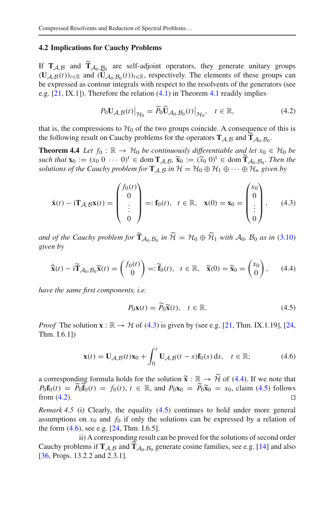#### **4.2 Implications for Cauchy Problems**

<span id="page-16-2"></span>**4.2 Implications for Cauchy Problems**<br>If  $T_{A,B}$  and  $\widetilde{T}_{A_0,B_0}$  are self-adjoint operators, they generate unitary groups **4.2 Implications for**<br>If  $\mathbf{T}_{\mathcal{A}, \mathcal{B}}$  and  $\widetilde{\mathbf{T}}_{\mathcal{A}_0, \mathcal{B}}$ <br>( $\mathbf{U}_{\mathcal{A}, \mathcal{B}}(t)$ )<sub> $t \in \mathbb{R}$ </sub> and ( $\mathbf{U}$ )  $\mathbf{U}_{A_0, B_0}(t)$ <sub>*t*∈R</sub>, respectively. The elements of these groups can be expressed as contour integrals with respectively. The elements of these groups can<br>be expressed as contour integrals with respect to the resolvents of the generators (see<br>e.g. [21, IX.1]). Therefore the relation (4.1) e.g.  $[21, IX, 1]$  $[21, IX, 1]$ ). Therefore the relation  $(4.1)$  in Theorem [4.1](#page-14-0) readily implies

<span id="page-16-6"></span>
$$
P_0 \mathbf{U}_{\mathcal{A}, \mathcal{B}}(t) \big|_{\mathcal{H}_0} = \widetilde{P}_0 \widetilde{\mathbf{U}}_{\mathcal{A}_0, \mathcal{B}_0}(t) \big|_{\mathcal{H}_0}, \quad t \in \mathbb{R}, \tag{4.2}
$$

that is, the compressions to  $\mathcal{H}_0$  of the two groups coincide. A consequence of this is  $P_0 \mathbf{U}_{\mathcal{A}, \mathcal{B}}(t)|_{\mathcal{H}_0} = \widetilde{P}_0 \widetilde{\mathbf{U}}_{\mathcal{A}_0, \mathcal{B}_0}(t)|_{\mathcal{H}_0}, \quad t \in \mathbb{R},$ <br>that is, the compressions to  $\mathcal{H}_0$  of the two groups coincide. A consequentie following result on Cauchy problems for the o the following result on Cauchy problems for the operators  $T_{A,B}$  and  $T_{A_0,B_0}$ .

<span id="page-16-0"></span>**Theorem 4.4** *Let*  $f_0 : \mathbb{R} \to H_0$  *be continuously differentiable and let*  $x_0 \in H_0$  *be such that* **is**, the compressions to  $\mathcal{H}_0$  of the two groups coincide. A consective following result on Cauchy problems for the operators  $\mathbf{T}_{A,B}$  and **Theorem 4.4** Let  $f_0 : \mathbb{R} \to \mathcal{H}_0$  be continuously differe such that  $\mathbf{x}_0 := (x_0 \ 0 \ \cdots \ 0)^t \in \text{dom } \mathbf{T}_{\mathcal{A}, \mathcal{B}}$ ,  $\widetilde{\mathbf{x}}_0 := (\widetilde{x}_0 \ 0)^t \in \text{dom } \widetilde{\mathbf{T}}_{\mathcal{A}_0, \mathcal{B}_0}$ . Then the *solutions of the Cauchy problem for*  $\mathbf{T}_{\mathcal{A}, \mathcal{B}}$  *in*  $\mathcal{H} = \mathcal{H}_0 \oplus \mathcal{H}_1 \oplus \cdots \oplus \mathcal{H}_n$  given by  $\mu \rightarrow \mathcal{H}_0$  be continuously differentiable and let x  $f$ •<br>∂<br>⊖  $\frac{1}{2}$ 

$$
\dot{\mathbf{x}}(t) - i\mathbf{T}_{\mathcal{A},\mathcal{B}}\mathbf{x}(t) = \begin{pmatrix} f_0(t) \\ 0 \\ \vdots \\ 0 \end{pmatrix} =: \mathbf{f}_0(t), \quad t \in \mathbb{R}, \quad \mathbf{x}(0) = \mathbf{x}_0 = \begin{pmatrix} x_0 \\ 0 \\ \vdots \\ 0 \end{pmatrix}, \quad (4.3)
$$
  
and of the Cauchy problem for  $\mathbf{\tilde{T}}_{\mathcal{A}_0,\mathcal{B}_0}$  in  $\widetilde{\mathcal{H}} = \mathcal{H}_0 \oplus \widetilde{\mathcal{H}}_1$  with  $\mathcal{A}_0, \mathcal{B}_0$  as in (3.10)  
given by  

$$
\mathbf{\tilde{x}}(t) - i\mathbf{\tilde{T}}_{\mathcal{A}_0,\mathcal{B}_0}\mathbf{\tilde{x}}(t) = \begin{pmatrix} f_0(t) \\ 0 \end{pmatrix} =: \widetilde{\mathbf{f}}_0(t), \quad t \in \mathbb{R}, \quad \widetilde{\mathbf{x}}(0) = \widetilde{\mathbf{x}}_0 = \begin{pmatrix} x_0 \\ 0 \end{pmatrix}, \quad (4.4)
$$

*given by*

$$
\widetilde{\mathbf{x}}(t) - \mathrm{i}\widetilde{\mathbf{T}}_{\mathcal{A}_0, \mathcal{B}_0} \widetilde{\mathbf{x}}(t) = \begin{pmatrix} f_0(t) \\ 0 \end{pmatrix} =: \widetilde{\mathbf{f}}_0(t), \quad t \in \mathbb{R}, \quad \widetilde{\mathbf{x}}(0) = \widetilde{\mathbf{x}}_0 = \begin{pmatrix} x_0 \\ 0 \end{pmatrix}, \tag{4.4}
$$

*have the same first components, i.e.*

<span id="page-16-5"></span><span id="page-16-4"></span><span id="page-16-3"></span>
$$
u, i.e.
$$
  
\n
$$
P_0 \mathbf{x}(t) = \widetilde{P}_0 \widetilde{\mathbf{x}}(t), \quad t \in \mathbb{R}.
$$
\n(4.5)

*Proof* The solution  $\mathbf{x} : \mathbb{R} \to \mathcal{H}$  of [\(4.3\)](#page-16-3) is given by (see e.g. [\[21](#page-28-21), Thm. IX.1.19], [\[24,](#page-28-22) Thm. I.6.1])

$$
\mathbf{x}(t) = \mathbf{U}_{\mathcal{A}, \mathcal{B}}(t)\mathbf{x}_0 + \int_0^t \mathbf{U}_{\mathcal{A}, \mathcal{B}}(t-s)\mathbf{f}_0(s) ds, \quad t \in \mathbb{R};
$$
 (4.6)  
a corresponding formula holds for the solution  $\tilde{\mathbf{x}} : \mathbb{R} \to \tilde{\mathcal{H}}$  of (4.4). If we note that

<span id="page-16-7"></span> $P_0 f_0(t) = \widetilde{P}_0 f_0(t) = f_0(t), t \in \mathbb{R}$ , and  $P_0 x_0 = \widetilde{P}_0 x_0 = x_0$ , claim [\(4.5\)](#page-16-5) follows  $\tilde{p}_0(s)$ from  $(4.2)$ .  $\Box$ 

<span id="page-16-1"></span>*Remark 4.5* (i) Clearly, the equality [\(4.5\)](#page-16-5) continues to hold under more general assumptions on  $x_0$  and  $f_0$  if only the solutions can be expressed by a relation of the form  $(4.6)$ , see e.g.  $[24, Thm. I.6.5]$  $[24, Thm. I.6.5]$ . Example 1.5 (i) Creamy, the equality (i.5) columnes to first ander incre-general assumptions on  $x_0$  and  $f_0$  if only the solutions can be expressed by a relation of the form (4.6), see e.g. [24, Thm. I.6.5].<br>ii) A corr

ii) A corresponding result can be proved for the solutions of second order [\[36](#page-29-5), Props. 13.2.2 and 2.3.1].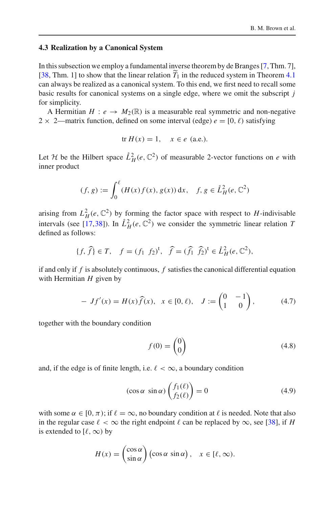#### **4.3 Realization by a Canonical System**

In this subsection we employ a fundamental inverse theorem by de Branges [\[7](#page-28-14), Thm. 7], [ $38$ , Thm. 1] to show that the linear relation  $T_1$  in the reduced system in Theorem [4.1](#page-14-0) can always be realized as a canonical system. To this end, we first need to recall some basic results for canonical systems on a single edge, where we omit the subscript *j* for simplicity.

A Hermitian  $H: e \to M_2(\mathbb{R})$  is a measurable real symmetric and non-negative  $2 \times 2$ —matrix function, defined on some interval (edge)  $e = [0, \ell)$  satisfying

$$
\text{tr } H(x) = 1, \quad x \in e \text{ (a.e.)}.
$$

Let *H* be the Hilbert space  $\mathring{L}_H^2(e, \mathbb{C}^2)$  of measurable 2-vector functions on *e* with inner product Hilbert space<br> $(f, g) := \int_{0}^{\ell}$ 

$$
(f, g) := \int_0^{\ell} (H(x) f(x), g(x)) \, dx, \quad f, g \in \mathring{L}^2_H(e, \mathbb{C}^2)
$$

arising from  $L^2_H(e, \mathbb{C}^2)$  by forming the factor space with respect to *H*-indivisable intervals (see [\[17](#page-28-24),[38\]](#page-29-3)). In  $\mathring{L}_H^2(e, \mathbb{C}^2)$  we consider the symmetric linear relation *T*<br>defined as follows:<br> $\{f, \hat{f}\} \in T, \quad f = (f_1 \ f_2)^t, \quad \hat{f} = (\hat{f}_1 \ \hat{f}_2)^t \in \mathring{L}_H^2(e, \mathbb{C}^2),$ defined as follows:

$$
\{f, \hat{f}\} \in T, \quad f = (f_1 \ f_2)^t, \quad \hat{f} = (\hat{f}_1 \ \hat{f}_2)^t \in \mathring{L}^2_H(e, \mathbb{C}^2),
$$

if and only if *f* is absolutely continuous, *f* satisfies the canonical differential equation with Hermitian *H* given by

<span id="page-17-2"></span>f is absolutely continuous, f satisfies the canonical differential equation  
\n
$$
\ln H \text{ given by}
$$
\n
$$
- Jf'(x) = H(x)\hat{f}(x), \quad x \in [0, \ell), \quad J := \begin{pmatrix} 0 & -1 \\ 1 & 0 \end{pmatrix}, \quad (4.7)
$$

together with the boundary condition

<span id="page-17-0"></span>
$$
f(0) = \begin{pmatrix} 0 \\ 0 \end{pmatrix} \tag{4.8}
$$

and, if the edge is of finite length, i.e.  $\ell < \infty$ , a boundary condition

<span id="page-17-1"></span>
$$
f(0) = \begin{pmatrix} 0 \end{pmatrix}
$$
  
ngth, i.e.  $\ell < \infty$ , a boundary condition  

$$
(\cos \alpha \sin \alpha) \begin{pmatrix} f_1(\ell) \\ f_2(\ell) \end{pmatrix} = 0
$$
 (4.9)

with some  $\alpha \in [0, \pi)$ ; if  $\ell = \infty$ , no boundary condition at  $\ell$  is needed. Note that also in the regular case  $\ell < \infty$  the right endpoint  $\ell$  can be replaced by  $\infty$ , see [\[38\]](#page-29-3), if *H* is extended to  $[\ell, \infty)$  by

$$
H(x) = \begin{pmatrix} \cos \alpha \\ \sin \alpha \end{pmatrix} (\cos \alpha \sin \alpha), \quad x \in [\ell, \infty).
$$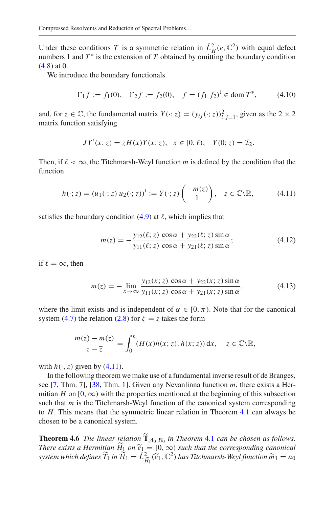Under these conditions *T* is a symmetric relation in  $\mathring{L}_H^2(e, \mathbb{C}^2)$  with equal defect numbers 1 and  $T^*$  is the extension of  $T$  obtained by omitting the boundary condition [\(4.8\)](#page-17-0) at 0.

We introduce the boundary functionals

$$
\Gamma_1 f := f_1(0), \quad \Gamma_2 f := f_2(0), \quad f = (f_1 \ f_2)^t \in \text{dom } T^*, \tag{4.10}
$$

and, for  $z \in \mathbb{C}$ , the fundamental matrix  $Y(\cdot; z) = (y_{ij}(\cdot; z))_{i,j=1}^2$ , given as the  $2 \times 2$ matrix function satisfying

$$
-JY'(x; z) = zH(x)Y(x; z), \ \ x \in [0, \ell), \ \ Y(0; z) = \mathcal{I}_2.
$$

Then, if  $\ell < \infty$ , the Titchmarsh-Weyl function *m* is defined by the condition that the function

<span id="page-18-1"></span>
$$
h(\cdot; z) = (u_1(\cdot; z) u_2(\cdot; z))^t := Y(\cdot; z) \begin{pmatrix} -m(z) \\ 1 \end{pmatrix}, \quad z \in \mathbb{C} \backslash \mathbb{R}, \tag{4.11}
$$

satisfies the boundary condition  $(4.9)$  at  $\ell$ , which implies that

$$
m(z) = -\frac{y_{12}(\ell; z) \cos \alpha + y_{22}(\ell; z) \sin \alpha}{y_{11}(\ell; z) \cos \alpha + y_{21}(\ell; z) \sin \alpha};
$$
(4.12)

if  $\ell = \infty$ , then

$$
m(z) = -\lim_{x \to \infty} \frac{y_{12}(x; z) \cos \alpha + y_{22}(x; z) \sin \alpha}{y_{11}(x; z) \cos \alpha + y_{21}(x; z) \sin \alpha},
$$
(4.13)

where the limit exists and is independent of  $\alpha \in [0, \pi)$ . Note that for the canonical system [\(4.7\)](#page-17-2) the relation [\(2.8\)](#page-6-2) for  $\zeta = z$  takes the form  $\mathbf{r}$ 

$$
\frac{m(z) - \overline{m(z)}}{z - \overline{z}} = \int_0^\ell (H(x)h(x; z), h(x; z)) dx, \quad z \in \mathbb{C} \backslash \mathbb{R},
$$

with  $h(\cdot, z)$  given by [\(4.11\)](#page-18-1).

In the following theorem we make use of a fundamental inverse result of de Branges, see [\[7,](#page-28-14) Thm. 7], [\[38,](#page-29-3) Thm. 1]. Given any Nevanlinna function *m*, there exists a Hermitian *H* on [0,  $\infty$ ) with the properties mentioned at the beginning of this subsection such that *m* is the Titchmarsh-Weyl function of the canonical system corresponding to *H*. This means that the symmetric linear relation in Theorem [4.1](#page-14-0) can always be chosen to be a canonical system. -Fracture 1.6 *The linear relation* of the canonical system corresponding<br>to *H*. This means that the symmetric linear relation in Theorem [4.1](#page-14-0) can always be<br>chosen to be a canonical system.<br>**Theorem 4.6** *The linear relati* 

<span id="page-18-0"></span>*There exists a Hermitian*  $H_1$  *on*  $\widetilde{e}_1 = [0, \infty)$  *such that the corresponding canonical s*<br>stem.<br>dation<br>1 on  $\tilde{e}_1$ **Theorem 4.6** *The linear relation*  $\widetilde{T}_{A_0, B_0}$  *in Theorem 4.1 can be chosen as follows.*<br>*There exists a Hermitian*  $\widetilde{H}_1$  *on*  $\widetilde{e}_1 = [0, \infty)$  *such that the corresponding canonical system which defines* ř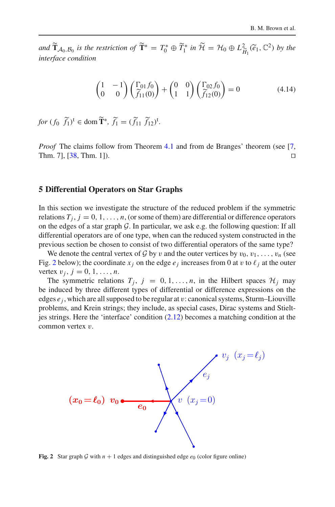**B. M. Brown et al.**<br> *and*  $\widetilde{\mathbf{T}}_{\mathcal{A}_0, \mathcal{B}_0}$  *is the restriction of*  $\widetilde{\mathbf{T}}^* = T_0^* \oplus \widetilde{T}_1^*$  *in*  $\widetilde{\mathcal{H}} = \mathcal{H}_0 \oplus L^2_{\widetilde{H}_1}(\widetilde{e}_1, \mathbb{C}^2)$  *by the*<br> *interface condition*<br>  $\begin{pmatrix} 1 & -1 \\ 0$ *interface condition*

<span id="page-19-2"></span>
$$
\begin{pmatrix} 1 & -1 \ 0 & 0 \end{pmatrix} \begin{pmatrix} \Gamma_{01} f_0 \\ \tilde{f}_{11}(0) \end{pmatrix} + \begin{pmatrix} 0 & 0 \\ 1 & 1 \end{pmatrix} \begin{pmatrix} \Gamma_{02} f_0 \\ \tilde{f}_{12}(0) \end{pmatrix} = 0 \tag{4.14}
$$

 $\left(0 \quad 0 \quad \right) \left(\tilde{f}_{11}(0)\right)$ <br>*for*  $(f_0 \ \tilde{f}_1)^t \in \text{dom } \tilde{\mathbf{T}}^*$ ,  $\tilde{f}_1 = (\tilde{f}_{11} \ \tilde{f}_{12})^t$ .

*Proof* The claims follow from Theorem [4.1](#page-14-0) and from de Branges' theorem (see [\[7,](#page-28-14) Thm. 7], [\[38](#page-29-3), Thm. 1]).  $\Box$ 

#### <span id="page-19-0"></span>**5 Differential Operators on Star Graphs**

In this section we investigate the structure of the reduced problem if the symmetric relations  $T_j$ ,  $j = 0, 1, \ldots, n$ , (or some of them) are differential or difference operators on the edges of a star graph *G*. In particular, we ask e.g. the following question: If all differential operators are of one type, when can the reduced system constructed in the previous section be chosen to consist of two differential operators of the same type?

We denote the central vertex of *G* by v and the outer vertices by  $v_0, v_1, \ldots, v_n$  (see Fig. [2](#page-19-1) below); the coordinate  $x_j$  on the edge  $e_j$  increases from 0 at v to  $\ell_j$  at the outer vertex  $v_j$ ,  $j = 0, 1, ..., n$ .

The symmetric relations  $T_j$ ,  $j = 0, 1, \ldots, n$ , in the Hilbert spaces  $\mathcal{H}_j$  may be induced by three different types of differential or difference expressions on the edges  $e_j$ , which are all supposed to be regular at v: canonical systems, Sturm–Liouville problems, and Krein strings; they include, as special cases, Dirac systems and Stieltjes strings. Here the 'interface' condition [\(2.12\)](#page-7-0) becomes a matching condition at the common vertex  $v$ .



<span id="page-19-1"></span>**Fig. 2** Star graph G with  $n + 1$  edges and distinguished edge  $e_0$  (color figure online)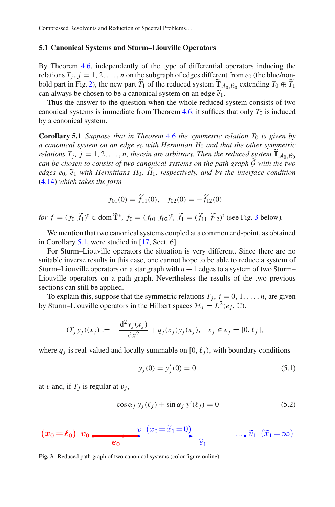# **5.1 Canonical Systems and Sturm–Liouville Operators** -

By Theorem [4.6,](#page-18-0) independently of the type of differential operators inducing the relations  $T_i$ ,  $j = 1, 2, \ldots, n$  on the subgraph of edges different from  $e_0$  (the blue/non-By Theorem 4.6, independently of the type of differential operators inducing the relations  $T_j$ ,  $j = 1, 2, ..., n$  on the subgraph of edges different from  $e_0$  (the blue/non-bold part in Fig. [2\)](#page-19-1), the new part  $\widetilde{T}_1$  of the By Theorem 4.6, independently of the type of differential relations  $T_j$ ,  $j = 1, 2, ..., n$  on the subgraph of edges differe bold part in Fig. 2), the new part  $\widetilde{T}_1$  of the reduced system  $\widetilde{T}_1$  can always be chosen to can always be chosen to be a canonical system on an edge  $\tilde{e}_1$ .

Thus the answer to the question when the whole reduced system consists of two canonical systems is immediate from Theorem [4.6:](#page-18-0) it suffices that only  $T_0$  is induced by a canonical system.

<span id="page-20-0"></span>**Corollary 5.1** *Suppose that in Theorem* [4.6](#page-18-0) *the symmetric relation T*<sup>0</sup> *is given by a canonical system on an edge e*<sup>0</sup> *with Hermitian H*<sup>0</sup> *and that the other symmetric corollary 5.1 Suppose that in Theorem 4.6 the symmetric relation*  $T_0$  *is giv a canonical system on an edge*  $e_0$  *with Hermitian*  $H_0$  *and that the other symmetrions*  $T_j$ *,*  $j = 1, 2, ..., n$ *, therein are arbitrary. Then the Therefores*  $T_i$ ,  $j = 1, 2, ..., n$ , therein are arbitrary. Then the reduced system  $\widetilde{T}_{A_0, B_0}$ *can be chosen to consist of two canonical systems on the path graph G with the two e definitions*<br>*relations T<sub>j</sub>*<br>*can be chos*<br>*edges e*<sub>0</sub>,  $\widetilde{e}_1$  $\widetilde{e}_1$  *with Hermitians H*<sub>0</sub>,  $\widetilde{H}_1$ , *respectively, and by the interface condition*<br>*ch takes the form*<br> $f_{01}(0) = \widetilde{f}_{11}(0)$ ,  $f_{02}(0) = -\widetilde{f}_{12}(0)$  $\sum_{i=1}^{n}$ [\(4.14\)](#page-19-2) *which takes the form*

$$
f_{01}(0) = \tilde{f}_{11}(0), \quad f_{02}(0) = -\tilde{f}_{12}(0)
$$

*f*<sub>01</sub>(0) =  $\tilde{f}_{11}(0)$ ,  $f_{02}(0) = -\tilde{f}_{12}(0)$ <br>*for*  $f = (f_0 \tilde{f}_1)^t \in \text{dom } \tilde{\mathbf{T}}^*$ ,  $f_0 = (f_{01} f_{02})^t$ ,  $\tilde{f}_1 = (\tilde{f}_{11} \tilde{f}_{12})^t$  (see Fig. [3](#page-20-1) below).

We mention that two canonical systems coupled at a common end-point, as obtained in Corollary [5.1,](#page-20-0) were studied in [\[17,](#page-28-24) Sect. 6].

For Sturm–Liouville operators the situation is very different. Since there are no suitable inverse results in this case, one cannot hope to be able to reduce a system of Sturm–Liouville operators on a star graph with  $n + 1$  edges to a system of two Sturm– Liouville operators on a path graph. Nevertheless the results of the two previous sections can still be applied.

To explain this, suppose that the symmetric relations  $T_i$ ,  $j = 0, 1, \ldots, n$ , are given by Sturm–Liouville operators in the Hilbert spaces  $\mathcal{H}_i = L^2(e_i, \mathbb{C}),$ 

$$
(T_j y_j)(x_j) := -\frac{d^2 y_j(x_j)}{dx^2} + q_j(x_j) y_j(x_j), \quad x_j \in e_j = [0, \ell_j],
$$

where  $q_i$  is real-valued and locally summable on [0,  $\ell_i$ ), with boundary conditions

<span id="page-20-3"></span><span id="page-20-2"></span>
$$
y_j(0) = y'_j(0) = 0 \tag{5.1}
$$

at v and, if  $T_i$  is regular at  $v_i$ ,

$$
\cos \alpha_j y_j(\ell_j) + \sin \alpha_j y'(\ell_j) = 0 \tag{5.2}
$$

$$
(x_0 = \ell_0) \ v_0 \longrightarrow e_0
$$
  $\overbrace{e_0}^{v} \overbrace{\widetilde{e}_1}^{(x_0 = \widetilde{x}_1 = 0)} \cdots \widetilde{v}_1 \ (\widetilde{x}_1 = \infty)$ 

<span id="page-20-1"></span>**Fig. 3** Reduced path graph of two canonical systems (color figure online)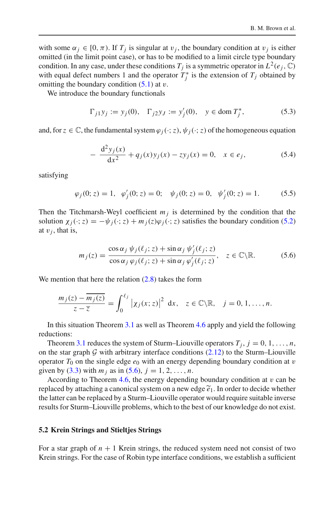with some  $\alpha_j \in [0, \pi)$ . If  $T_j$  is singular at  $v_j$ , the boundary condition at  $v_j$  is either omitted (in the limit point case), or has to be modified to a limit circle type boundary condition. In any case, under these conditions  $T_j$  is a symmetric operator in  $L^2(e_j, \mathbb{C})$ with equal defect numbers 1 and the operator  $T_j^*$  is the extension of  $T_j$  obtained by omitting the boundary condition  $(5.1)$  at v.

We introduce the boundary functionals

$$
\Gamma_{j1} y_j := y_j(0), \quad \Gamma_{j2} y_j := y'_j(0), \quad y \in \text{dom } T_j^*, \tag{5.3}
$$

and, for  $z \in \mathbb{C}$ , the fundamental system  $\varphi_i(\cdot; z)$ ,  $\psi_i(\cdot; z)$  of the homogeneous equation

$$
-\frac{d^2y_j(x)}{dx^2} + q_j(x)y_j(x) - zy_j(x) = 0, \quad x \in e_j,
$$
\n(5.4)

satisfying

$$
\varphi_j(0; z) = 1, \quad \varphi'_j(0; z) = 0; \quad \psi_j(0; z) = 0, \quad \psi'_j(0; z) = 1.
$$
\n(5.5)

Then the Titchmarsh-Weyl coefficient  $m<sub>j</sub>$  is determined by the condition that the solution  $\chi_i(\cdot; z) = -\psi_i(\cdot; z) + m_i(z)\varphi_i(\cdot; z)$  satisfies the boundary condition [\(5.2\)](#page-20-3) at  $v_i$ , that is,

<span id="page-21-0"></span>
$$
m_j(z) = \frac{\cos \alpha_j \psi_j(\ell_j; z) + \sin \alpha_j \psi'_j(\ell_j; z)}{\cos \alpha_j \varphi_j(\ell_j; z) + \sin \alpha_j \varphi'_j(\ell_j; z)}, \quad z \in \mathbb{C} \backslash \mathbb{R}.
$$
 (5.6)

We mention that here the relation  $(2.8)$  takes the form

$$
\frac{m_j(z)-\overline{m_j(z)}}{z-\overline{z}}=\int_0^{\ell_j}|\chi_j(x;z)|^2\mathrm{d}x,\quad z\in\mathbb{C}\backslash\mathbb{R},\quad j=0,1,\ldots,n.
$$

In this situation Theorem [3.1](#page-10-0) as well as Theorem [4.6](#page-18-0) apply and yield the following reductions:

Theorem [3.1](#page-10-0) reduces the system of Sturm–Liouville operators  $T_i$ ,  $j = 0, 1, \ldots, n$ , on the star graph  $G$  with arbitrary interface conditions  $(2.12)$  to the Sturm–Liouville operator *T*<sub>0</sub> on the single edge  $e_0$  with an energy depending boundary condition at *v* given by (3.3) with  $m_j$  as in (5.6),  $j = 1, 2, ..., n$ .<br>According to Theorem 4.6, the energy depending boundary condition at *v* can given by [\(3.3\)](#page-10-3) with  $m_j$  as in [\(5.6\)](#page-21-0),  $j = 1, 2, ..., n$ .

According to Theorem  $4.6$ , the energy depending boundary condition at  $v$  can be replaced by attaching a canonical system on a new edge  $\tilde{e}_1$ . In order to decide whether the latter can be replaced by a Sturm–Liouville operator would require suitable inverse results for Sturm–Liouville problems, which to the best of our knowledge do not exist.

#### **5.2 Krein Strings and Stieltjes Strings**

For a star graph of  $n + 1$  Krein strings, the reduced system need not consist of two Krein strings. For the case of Robin type interface conditions, we establish a sufficient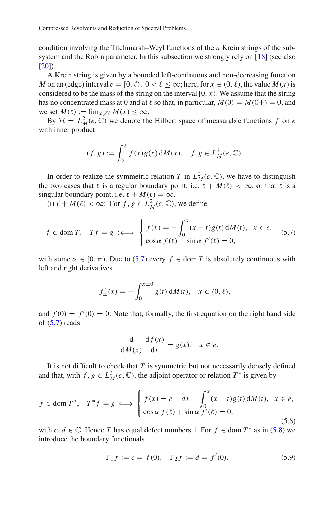condition involving the Titchmarsh–Weyl functions of the *n* Krein strings of the subsystem and the Robin parameter. In this subsection we strongly rely on [\[18\]](#page-28-15) (see also  $[20]$  $[20]$ ).

A Krein string is given by a bounded left-continuous and non-decreasing function *M* on an (edge) interval  $e = [0, \ell)$ ,  $0 < \ell \leq \infty$ ; here, for  $x \in (0, \ell)$ , the value  $M(x)$  is considered to be the mass of the string on the interval  $[0, x)$ . We assume that the string has no concentrated mass at 0 and at  $\ell$  so that, in particular,  $M(0) = M(0+) = 0$ , and we set  $M(\ell) := \lim_{x \to \ell} M(x) \leq \infty$ .

By  $\mathcal{H} = L_M^2(e, \mathbb{C})$  we denote the Hilbert space of measurable functions f on *e* with inner product

$$
\lim_{x \to \ell} M(x) \le \infty.
$$
  
\n $f(e, \mathbb{C})$  we denote the Hilbert space of measurable  
\nuct  
\n
$$
(f, g) := \int_0^\ell f(x) \overline{g(x)} dM(x), \quad f, g \in L^2_M(e, \mathbb{C}).
$$

In order to realize the symmetric relation *T* in  $L^2_M(e, \mathbb{C})$ , we have to distinguish the two cases that  $\ell$  is a regular boundary point, i.e.  $\ell + M(\ell) < \infty$ , or that  $\ell$  is a singular boundary point, i.e.  $\ell + M(\ell) = \infty$ .

<span id="page-22-0"></span>(i)  $\underline{\ell} + M(\ell) < \infty$ : For  $f, g \in L^2_M(e, \mathbb{C})$ , we define

We two cases that 
$$
\ell
$$
 is a regular boundary point, i.e.  $\ell + M(\ell) < \infty$ , or that  $\ell$  is a regular boundary point, i.e.  $\ell + M(\ell) = \infty$ . \n(i)  $\ell + M(\ell) < \infty$ : For  $f, g \in L^2_M(e, \mathbb{C})$ , we define\n
$$
f \in \text{dom } T, \quad Tf = g \iff \begin{cases} f(x) = -\int_0^x (x - t)g(t) \, \mathrm{d}M(t), & x \in e, \\ \cos \alpha \, f(\ell) + \sin \alpha \, f'(\ell) = 0, \end{cases} \tag{5.7}
$$

with some  $\alpha \in [0, \pi)$ . Due to [\(5.7\)](#page-22-0) every  $f \in \text{dom } T$  is absolutely continuous with left and right derivatives

$$
\tau
$$
). Due to (5.7) every  $f \in \text{dom } T$  is absolutely  
dives  

$$
f'_{\pm}(x) = -\int_0^{x \pm 0} g(t) \, dM(t), \quad x \in (0, \ell),
$$

and  $f(0) = f'(0) = 0$ . Note that, formally, the first equation on the right hand side of  $(5.7)$  reads

$$
-\frac{d}{dM(x)}\frac{df(x)}{dx} = g(x), \quad x \in e.
$$

It is not difficult to check that  $T$  is symmetric but not necessarily densely defined and that, with  $f, g \in L^2_M(e, \mathbb{C})$ , the adjoint operator or relation  $T^*$  is given by

<span id="page-22-1"></span>
$$
f \in \text{dom } T^*, \quad T^* f = g \iff \begin{cases} f(x) = c + dx - \int_0^x (x - t)g(t) \, dM(t), & x \in e, \\ \cos \alpha f(\ell) + \sin \alpha f'(\ell) = 0, \end{cases}
$$
\n
$$
(5.8)
$$

with *c*,  $d \in \mathbb{C}$ . Hence *T* has equal defect numbers 1. For  $f \in \text{dom } T^*$  as in [\(5.8\)](#page-22-1) we introduce the boundary functionals

<span id="page-22-2"></span>
$$
\Gamma_1 f := c = f(0), \quad \Gamma_2 f := d = f'(0). \tag{5.9}
$$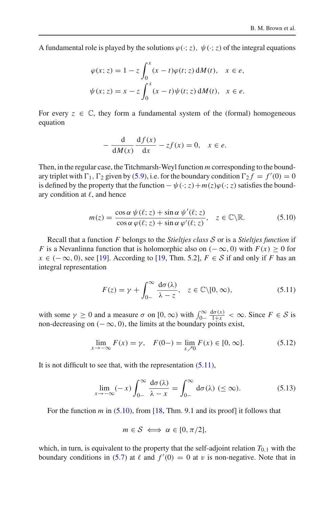A fundamental role is played by the solutions  $\varphi(\cdot; z)$ ,  $\psi(\cdot; z)$  of the integral equations

$$
\varphi(x; z) = 1 - z \int_0^x (x - t)\varphi(t; z) dM(t), \quad x \in e,
$$
  

$$
\psi(x; z) = x - z \int_0^x (x - t)\psi(t; z) dM(t), \quad x \in e.
$$

For every  $z \in \mathbb{C}$ , they form a fundamental system of the (formal) homogeneous equation

$$
-\frac{d}{dM(x)}\frac{df(x)}{dx} - zf(x) = 0, \quad x \in e.
$$

Then, in the regular case, the Titchmarsh-Weyl function *m* corresponding to the boundary triplet with  $\Gamma_1$ ,  $\Gamma_2$  given by [\(5.9\)](#page-22-2), i.e. for the boundary condition  $\Gamma_2 f = f'(0) = 0$ is defined by the property that the function  $-\psi(\cdot; z) + m(z)\varphi(\cdot; z)$  satisfies the boundary condition at  $\ell$ , and hence

<span id="page-23-1"></span>
$$
m(z) = \frac{\cos \alpha \psi(\ell; z) + \sin \alpha \psi'(\ell; z)}{\cos \alpha \varphi(\ell; z) + \sin \alpha \varphi'(\ell; z)}, \quad z \in \mathbb{C} \backslash \mathbb{R}.
$$
 (5.10)

Recall that a function *F* belongs to the *Stieltjes class S* or is a *Stieltjes function* if *F* is a Nevanlinna function that is holomorphic also on  $(-\infty, 0)$  with  $F(x) \ge 0$  for *x* ∈ (−∞, 0), see [\[19\]](#page-28-26). According to [\[19,](#page-28-26) Thm. 5.2],  $F \in S$  if and only if *F* has an integral representation

$$
F(z) = \gamma + \int_{0-}^{\infty} \frac{d\sigma(\lambda)}{\lambda - z}, \quad z \in \mathbb{C} \setminus [0, \infty),
$$
 (5.11)  
with some  $\gamma \ge 0$  and a measure  $\sigma$  on  $[0, \infty)$  with  $\int_{0-}^{\infty} \frac{d\sigma(x)}{1+x} < \infty$ . Since  $F \in \mathcal{S}$  is

non-decreasing on  $(-\infty, 0)$ , the limits at the boundary points exist,

<span id="page-23-2"></span><span id="page-23-0"></span>
$$
\lim_{x \to -\infty} F(x) = \gamma, \quad F(0-) = \lim_{x \to 0} F(x) \in [0, \infty].
$$
 (5.12)

It is not difficult to see that, with the representation [\(5.11\)](#page-23-0),

<span id="page-23-3"></span>
$$
\lim_{x \to -\infty} (-x) \int_{0-}^{\infty} \frac{d\sigma(\lambda)}{\lambda - x} = \int_{0-}^{\infty} d\sigma(\lambda) \quad (\leq \infty). \tag{5.13}
$$

For the function *m* in [\(5.10\)](#page-23-1), from [\[18](#page-28-15), Thm. 9.1 and its proof] it follows that

$$
m\in\mathcal{S}\iff\alpha\in[0,\pi/2],
$$

which, in turn, is equivalent to the property that the self-adjoint relation  $T_{0,1}$  with the boundary conditions in [\(5.7\)](#page-22-0) at  $\ell$  and  $f'(0) = 0$  at v is non-negative. Note that in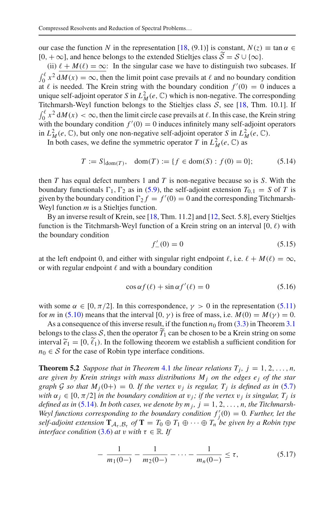our case the function *N* in the representation [\[18](#page-28-15), (9.1)] is constant,  $N(z) \equiv \tan \alpha \in$  $[0, +\infty]$ , and hence belongs to the extended Stieltjes class  $S = S \cup \{\infty\}$ .

(ii)  $\ell + M(\ell) = \infty$ : In the singular case we have to distinguish two subcases. If  $\int_0^{\ell} x^2 dM(x) = \infty$ , then the limit point case prevails at  $\ell$  and no boundary condition at  $\ell$  is needed. The Krein string with the boundary condition  $f'(0) = 0$  induces a unique self-adjoint operator *S* in  $L^2_M(e, \mathbb{C})$  which is non-negative. The corresponding Titchmarsh-Weyl function belongs to the Stieltjes class *S*, see [\[18](#page-28-15), Thm. 10.1]. If  $\int_0^{\ell} x^2 dM(x) < \infty$ , then the limit circle case prevails at  $\ell$ . In this case, the Krein string with the boundary condition  $f'(0) = 0$  induces infinitely many self-adjoint operators in  $L^2_M(e, \mathbb{C})$ , but only one non-negative self-adjoint operator *S* in  $L^2_M(e, \mathbb{C})$ .

In both cases, we define the symmetric operator *T* in  $L^2_M(e, \mathbb{C})$  as

<span id="page-24-1"></span>
$$
T := S|_{\text{dom}(T)}, \quad \text{dom}(T) := \{ f \in \text{dom}(S) : f(0) = 0 \}; \tag{5.14}
$$

then *T* has equal defect numbers 1 and *T* is non-negative because so is *S*. With the boundary functionals  $\Gamma_1$ ,  $\Gamma_2$  as in [\(5.9\)](#page-22-2), the self-adjoint extension  $T_{0,1} = S$  of *T* is given by the boundary condition  $\Gamma_2 f = f'(0) = 0$  and the corresponding Titchmarsh-Weyl function *m* is a Stieltjes function.

By an inverse result of Krein, see [\[18](#page-28-15), Thm. 11.2] and [\[12](#page-28-16), Sect. 5.8], every Stieltjes function is the Titchmarsh-Weyl function of a Krein string on an interval [0,  $\ell$ ) with the boundary condition

$$
f'_{-}(0) = 0 \tag{5.15}
$$

at the left endpoint 0, and either with singular right endpoint  $\ell$ , i.e.  $\ell + M(\ell) = \infty$ , or with regular endpoint  $\ell$  and with a boundary condition

<span id="page-24-2"></span>
$$
\cos \alpha f(\ell) + \sin \alpha f'(\ell) = 0 \tag{5.16}
$$

with some  $\alpha \in [0, \pi/2]$ . In this correspondence,  $\gamma > 0$  in the representation [\(5.11\)](#page-23-0) for *m* in [\(5.10\)](#page-23-1) means that the interval [0,  $\gamma$ ) is free of mass, i.e.  $M(0) = M(\gamma) = 0$ .

As a consequence of this inverse result, if the function  $n_0$  from  $(3.3)$  in Theorem [3.1](#page-10-0) belongs to the class *S*, then the operator  $T_1$  can be chosen to be a Krein string on some for *m* in (5.10) means a consequence  $\lambda$  is a consequence belongs to the class interval  $\tilde{e}_1 = [0, \tilde{\ell}_1]$ interval  $\tilde{e}_1 = [0, \tilde{\ell}_1]$ . In the following theorem we establish a sufficient condition for  $n_0 \in S$  for the case of Robin type interface conditions.

<span id="page-24-0"></span>**Theorem 5.2** *Suppose that in Theorem [4.1](#page-14-0) the linear relations*  $T_i$ ,  $j = 1, 2, \ldots, n$ , *are given by Krein strings with mass distributions*  $M_i$  *on the edges e<sub>j</sub> of the star graph G so that*  $M_j(0+) = 0$ *. If the vertex*  $v_j$  *is regular,*  $T_j$  *is defined as in* [\(5.7\)](#page-22-0) *with*  $\alpha_j \in [0, \pi/2]$  *in the boundary condition at*  $v_j$ *; if the vertex*  $v_j$  *is singular,*  $T_j$  *is defined as in* [\(5.14\)](#page-24-1)*. In both cases, we denote by m<sub>j</sub>,*  $j = 1, 2, ..., n$ *, the Titchmarsh-*Weyl functions corresponding to the boundary condition  $f'_{j}(0) = 0$ . Further, let the *self-adjoint extension*  $\mathbf{T}_{\mathcal{A}_{\tau},\mathcal{B}_{\tau}}$  *of*  $\mathbf{T} = T_0 \oplus T_1 \oplus \cdots \oplus T_n$  *be given by a Robin type interface condition* [\(3.6\)](#page-13-2) *at v with*  $\tau \in \mathbb{R}$ *. If* 

<span id="page-24-3"></span>
$$
-\frac{1}{m_1(0-)} - \frac{1}{m_2(0-)} - \dots - \frac{1}{m_n(0-)} \le \tau,
$$
\n(5.17)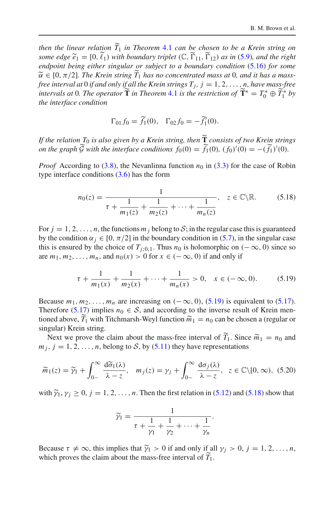*then the linear relation T* <sup>1</sup> *in Theorem* [4.1](#page-14-0) *can be chosen to be a Krein string on some the linear relation*  $\widetilde{T}_1$  *in Theorem* 4.1 *can be cho*.<br> *some edge*  $\widetilde{e}_1 = [0, \widetilde{\ell}_1)$  *with boundary triplet*  $(\mathbb{C}, \widetilde{\Gamma}_{11}, \widetilde{\Gamma})$  $\Gamma_{11}$ ,  $\Gamma_{12}$ ) *as in* [\(5.9\)](#page-22-2)*, and the right* endpoint being either singular or subject to a boundary condition [\(5.16\)](#page-24-2) for some endpoint being either singular or subject to a boundary condition (5.16) for some then the linear relation  $\widetilde{T}_1$  in Th  $\widetilde{\alpha} \in [0, \pi/2]$ . The Krein string  $T_1$  has no concentrated mass at 0, and it has a mass*free interval at* 0 *if and only if all the Krein strings*  $T_j$ ,  $j = 1, 2, ..., n$ , *have mass-free i*<sub>*i*</sub> *i*<sub>*i*</sub> *i*<sub>*i*</sub> *i*<sub>*i*</sub> *i*<sup>*i*</sup> *i*<sup>*i*</sup> *f*<sup>*i*</sup> *i*<sup>*i*</sup> *f*<sup>*i*</sup> *i*<sup>*i*</sup> *f*<sup>*i*</sup> *f*<sup>*i*</sup> *i*<sup>*i*</sup> *f*<sup>*i*</sup> *i*<sup>*i*</sup> *f*<sup>*i*</sup> *f*<sup>*i*</sup> *f*<sup>*i*</sup> *f*<sup>*i*</sup> *f*<sup>*i*</sup> *f*<sup>*i*</sup> *f*<sup>*i*</sup> *f*<sup>*i*</sup> *f*<sup>*i*</sup> *f*<sup>*</sup> the interface condition*

$$
\Gamma_{01} f_0 = \tilde{f}_1(0), \quad \Gamma_{02} f_0 = -\tilde{f}_1'(0).
$$

 $\Gamma_{01} f_0 = \widetilde{f_1}(0), \quad \Gamma_{02} f_0 = -\widetilde{f_1'}(0).$ <br>*If the relation*  $T_0$  *is also given by a Krein string, then*  $\widetilde{\bf T}$  *consists of two Krein strings on the graph G* with the interface conditions  $f_0(0) = f_1(0)$ ,  $(f_0)'(0) = -(f_1)'(0)$ .  $\Gamma_{01} f_0 = \tilde{f}_1(0)$ ,  $\Gamma_{02} f_0 = -\tilde{f}_1'(0)$ .<br> *with the interface conditions f*<sub>0</sub>(0) =  $\tilde{f}_1(0)$ , (*f*<sub>0</sub>)'(0) = -( $\tilde{f}_1$ 

*Proof* According to [\(3.8\)](#page-13-0), the Nevanlinna function  $n_0$  in [\(3.3\)](#page-10-3) for the case of Robin type interface conditions  $(3.6)$  has the form

<span id="page-25-1"></span>
$$
n_0(z) = \frac{1}{\tau + \frac{1}{m_1(z)} + \frac{1}{m_2(z)} + \dots + \frac{1}{m_n(z)}}, \quad z \in \mathbb{C} \backslash \mathbb{R}.
$$
 (5.18)

For  $j = 1, 2, \ldots, n$ , the functions  $m_j$  belong to  $S$ ; in the regular case this is guaranteed by the condition  $\alpha_j \in [0, \pi/2]$  in the boundary condition in [\(5.7\)](#page-22-0), in the singular case this is ensured by the choice of  $T_{i:0,1}$ . Thus  $n_0$  is holomorphic on ( $-\infty$ , 0) since so are  $m_1, m_2, \ldots, m_n$ , and  $n_0(x) > 0$  for  $x \in (-\infty, 0)$  if and only if

<span id="page-25-0"></span>
$$
\tau + \frac{1}{m_1(x)} + \frac{1}{m_2(x)} + \dots + \frac{1}{m_n(x)} > 0, \quad x \in (-\infty, 0). \tag{5.19}
$$

Because  $m_1, m_2, \ldots, m_n$  are increasing on  $(-\infty, 0)$ , [\(5.19\)](#page-25-0) is equivalent to [\(5.17\)](#page-24-3). Therefore  $(5.17)$  implies  $n_0 \in S$ , and according to the inverse result of Krein mentioned above,  $T_1$  with Titchmarsh-Weyl function  $\widetilde{m}_1 = n_0$  can be chosen a (regular or 2, ...,  $m_n$  are increasing on  $(-\infty,$ <br>
(1) implies  $n_0 \in S$ , and according to  $\tilde{n}$  with Titchmarsh-Weyl function  $\tilde{m}$ singular) Krein string. erefore (5.17) implies  $n_0 \,\in S$ , and according to the inverse result of Krein men-<br>ned above,  $\widetilde{T}_1$  with Titchmarsh-Weyl function  $\widetilde{m}_1 = n_0$  can be chosen a (regular or<br>gular) Krein string.<br>Next we prove the clai  $\frac{1}{2}$ 

 $m_j$ ,  $j = 1, 2, ..., n$ , belong to *S*, by [\(5.11\)](#page-23-0) they have representations

Next we prove the claim about the mass-free interval of 
$$
T_1
$$
. Since  $m_1 = n_0$  and  $m_j$ ,  $j = 1, 2, ..., n$ , belong to  $S$ , by (5.11) they have representations  
\n
$$
\widetilde{m}_1(z) = \widetilde{\gamma}_1 + \int_{0-}^{\infty} \frac{d\widetilde{\sigma}_1(\lambda)}{\lambda - z}, \quad m_j(z) = \gamma_j + \int_{0-}^{\infty} \frac{d\sigma_j(\lambda)}{\lambda - z}, \quad z \in \mathbb{C} \setminus [0, \infty), \quad (5.20)
$$
\nwith  $\widetilde{\gamma}_1, \gamma_j \ge 0, j = 1, 2, ..., n$ . Then the first relation in (5.12) and (5.18) show that

<span id="page-25-2"></span>

$$
\widetilde{\gamma}_1 = \frac{1}{\tau + \frac{1}{\gamma_1} + \frac{1}{\gamma_2} + \cdots + \frac{1}{\gamma_n}}.
$$

 $\gamma_1 = \frac{1}{\tau + \frac{1}{\gamma_1} + \frac{1}{\gamma_2} + \cdots + \frac{1}{\gamma_n}}.$ <br>Because  $\tau \neq \infty$ , this implies that  $\tilde{\gamma}_1 > 0$  if and only if all  $\gamma_j > 0$ ,  $j = 1, 2, \ldots, n$ , which proves the claim about the mass-free interval of *T* 1.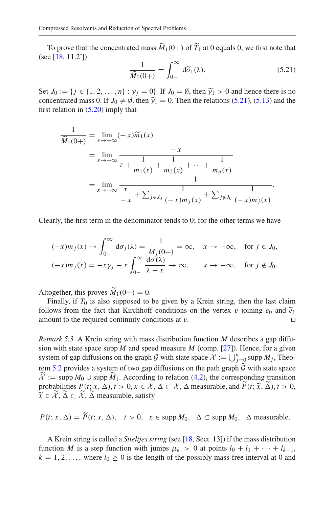mpressed Resolvents and Reduction of Spectral Problems...<br>
To prove that the concentrated mass  $\widetilde{M}_1(0+)$  of  $\widetilde{T}_1$  at 0 equals 0, we first note that (see [\[18,](#page-28-15) 11.2˚])  $\frac{1}{d\widetilde{\sigma}}$ 

To prove that the concentrated mass 
$$
\widetilde{M}_1(0+)
$$
 of  $\widetilde{T}_1$  at 0 equals 0, we first note that  
(see [18, 11.2<sup>°</sup>])  

$$
\frac{1}{\widetilde{M}_1(0+)} = \int_{0-}^{\infty} d\widetilde{\sigma}_1(\lambda).
$$
(5.21)  
Set  $J_0 := \{j \in \{1, 2, ..., n\} : \gamma_j = 0\}$ . If  $J_0 = \emptyset$ , then  $\widetilde{\gamma}_1 > 0$  and hence there is no

<span id="page-26-0"></span> $\overline{\widetilde{M}_1(0+)} = \int_{0-}^{1} d\sigma_1(\lambda).$  [\(5.21\)](#page-26-0)<br>Set  $J_0 := \{j \in \{1, 2, ..., n\} : \gamma_j = 0\}$ . If  $J_0 = \emptyset$ , then  $\widetilde{\gamma}_1 > 0$  and hence there is no<br>concentrated mass 0. If  $J_0 \neq \emptyset$ , then  $\widetilde{\gamma}_1 = 0$ . Then the relations (5.21), (5

first relation in (5.20) imply that  
\n
$$
\frac{1}{\widetilde{M}_1(0+)} = \lim_{x \to -\infty} (-x)\widetilde{m}_1(x)
$$
\n
$$
= \lim_{x \to -\infty} \frac{-x}{\tau + \frac{1}{m_1(x)} + \frac{1}{m_2(x)} + \dots + \frac{1}{m_n(x)}}
$$
\n
$$
= \lim_{x \to -\infty} \frac{1}{\frac{\tau}{\tau + \sum_{j \in J_0} \frac{1}{(-x)m_j(x)} + \sum_{j \notin J_0} \frac{1}{(-x)m_j(x)}}.
$$

Clearly, the first term in the denominator tends to 0; for the other terms we have

$$
(-x)m_j(x) \to \int_{0-}^{\infty} d\sigma_j(\lambda) = \frac{1}{M_j(0+)} = \infty, \quad x \to -\infty, \quad \text{for } j \in J_0,
$$
  

$$
(-x)m_j(x) = -x\gamma_j - x\int_{0-}^{\infty} \frac{d\sigma(\lambda)}{\lambda - x} \to \infty, \quad x \to -\infty, \quad \text{for } j \notin J_0.
$$
  
Altogether, this proves  $\widetilde{M}_1(0+) = 0$ .

Finally, if  $T_0$  is also supposed to be given by a Krein string, then the last claim Altogether, this proves  $\widetilde{M}_1(0+) = 0$ .<br>Finally, if  $T_0$  is also supposed to be given by a Krein string, then the last claim<br>follows from the fact that Kirchhoff conditions on the vertex v joining  $e_0$  and  $\widetilde{e}_1$ amount to the required continuity conditions at  $v$ .  $\Box$ 

*Remark 5.3* A Krein string with mass distribution function *M* describes a gap diffu-sion with state space supp  $\overline{M}$  and speed measure  $\overline{M}$  (comp. [\[27\]](#page-28-27)). Hence, for a given amount to the required continuity conditions at  $v$ .<br> *Remark 5.3* A Krein string with mass distribution function *M* describes a gap diffusion with state space supp *M* and speed measure *M* (comp. [27]). Hence, for a gi rem [5.2](#page-24-0) provides a system of two gap diffusions on the path graph  $G$  with state space  $\mathcal{X} := \text{supp } M_0 \cup \text{supp } M_1$ . According to relation [\(4.2\)](#page-16-6), the corresponding transition ion with state space supp<br>ystem of gap diffusions of<br>em 5.2 provides a system<br> $\tilde{\mathcal{X}}$  := supp  $M_0$  ∪ supp  $\tilde{M}$ probabilities  $P(t; x, \Delta), t > 0, x \in \mathcal{X}, \Delta \subset \mathcal{X}, \Delta$  measurable, and  $P(t; \tilde{x}, \Delta), t > 0,$  $\text{supp } M_j$ <br>with stat<br>*nding tra*<br> $(t; \tilde{x}, \tilde{\Delta})$ rem 5.2 provides a<br>  $\widetilde{\mathcal{X}} := \text{supp } M_0 \cup s$ <br>
probabilities  $P(t)$ ;<br>  $\widetilde{x} \in \widetilde{\mathcal{X}}, \widetilde{\Delta} \subset \widetilde{\mathcal{X}}, \widetilde{\Delta}$  $\widetilde{x} \in \mathcal{X}, \Delta \subset \mathcal{X}, \Delta$  measurable, satisfy

 $P(t; x, \Delta) = P(t; x, \Delta), \quad t > 0, \quad x \in \text{supp } M_0, \quad \Delta \subset \text{supp } M_0, \quad \Delta \text{ measurable.}$ 

A Krein string is called a *Stieltjes string* (see [\[18,](#page-28-15) Sect. 13]) if the mass distribution function *M* is a step function with jumps  $\mu_k > 0$  at points  $l_0 + l_1 + \cdots + l_{k-1}$ ,  $k = 1, 2, \ldots$ , where  $l_0 \ge 0$  is the length of the possibly mass-free interval at 0 and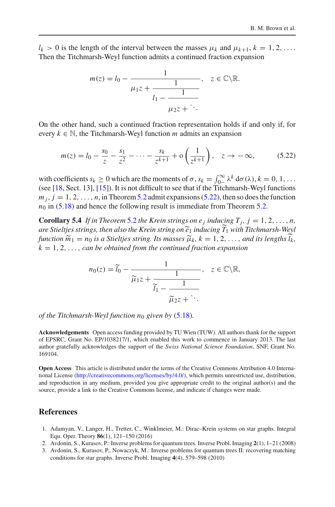$l_k > 0$  is the length of the interval between the masses  $\mu_k$  and  $\mu_{k+1}, k = 1, 2, \ldots$ . Then the Titchmarsh-Weyl function admits a continued fraction expansion

$$
m(z) = l_0 - \frac{1}{\mu_1 z + \frac{1}{l_1 - \frac{1}{\mu_2 z + \ddots}}}, \quad z \in \mathbb{C} \backslash \mathbb{R}.
$$

On the other hand, such a continued fraction representation holds if and only if, for every  $k \in \mathbb{N}$ , the Titchmarsh-Weyl function *m* admits an expansion

<span id="page-27-4"></span>
$$
m(z) = l_0 - \frac{s_0}{z} - \frac{s_1}{z^2} - \dots - \frac{s_k}{z^{k+1}} + o\left(\frac{1}{z^{k+1}}\right), \quad z \to -\infty,
$$
 (5.22)  
with coefficients  $s_k \ge 0$  which are the moments of  $\sigma$ ,  $s_k = \int_{0}^{\infty} \lambda^k d\sigma(\lambda), k = 0, 1, \dots$ 

(see [\[18](#page-28-15), Sect. 13], [\[15\]](#page-28-28)). It is not difficult to see that if the Titchmarsh-Weyl functions  $m_j$ ,  $j = 1, 2, \ldots, n$ , in Theorem [5.2](#page-24-0) admit expansions [\(5.22\)](#page-27-4), then so does the function  $n_0$  in [\(5.18\)](#page-25-1) and hence the following result is immediate from Theorem [5.2.](#page-24-0)

<span id="page-27-3"></span>**Corollary 5.4** *If in Theorem* [5.2](#page-24-0) *the Krein strings on e<sub>j</sub> inducing T<sub>j</sub>,*  $j = 1, 2, ..., n$ *,*  $m_j$ ,  $j = 1, 2, ..., n$ , in Theorem 3.2 admit expansion<br>  $n_0$  in (5.18) and hence the following result is imm<br> **Corollary 5.4** If in Theorem 5.2 the Krein strings<br>
are Stieltjes strings, then also the Krein string on  $\tilde{e}$ *e*<sup>1</sup> *inducing T* <sup>1</sup> *with Titchmarsh-Weyl functionallary* **5.4** *<i>ff in Theorem 5.2 the Krein strings on e<sub>j</sub> inducing T<sub>j</sub>, j = 1, 2, ..., <i>n are Stieltjes strings, then also the Krein string on*  $\tilde{e}_1$  *inducing*  $\tilde{T}_1$  *with Titchmarsh-Wey function*  $\$ *l*<sub>0</sub> is a Stieltjes string. Its masses  $\tilde{\mu}_k$ ,  $k = 1, 2, ...,$  and its lengths  $\tilde{l}_k$ ,<br> *n* be obtained from the continued fraction expansion<br>  $n_0(z) = \tilde{l}_0 - \frac{1}{1}$ ,  $z \in \mathbb{C} \setminus \mathbb{R}$ ,  $k = 1, 2, \ldots$ , *can be obtained from the continued fraction expansion* 

$$
n_0(z) = \widetilde{l}_0 - \frac{1}{\widetilde{\mu}_1 z + \frac{1}{\widetilde{l}_1 - \frac{1}{\widetilde{\mu}_2 z + \ddots}}}, \quad z \in \mathbb{C} \backslash \mathbb{R},
$$

*of the Titchmarsh-Weyl function n*<sup>0</sup> *given by* [\(5.18\)](#page-25-1)*.*

**Acknowledgements** Open access funding provided by TU Wien (TUW). All authors thank for the support of EPSRC, Grant No. EP/1038217/1, which enabled this work to commence in January 2013. The last author gratefully acknowledges the support of the *Swiss National Science Foundation*, SNF, Grant No. 169104.

**Open Access** This article is distributed under the terms of the Creative Commons Attribution 4.0 International License [\(http://creativecommons.org/licenses/by/4.0/\)](http://creativecommons.org/licenses/by/4.0/), which permits unrestricted use, distribution, and reproduction in any medium, provided you give appropriate credit to the original author(s) and the source, provide a link to the Creative Commons license, and indicate if changes were made.

# **References**

- <span id="page-27-2"></span>1. Adamyan, V., Langer, H., Tretter, C., Winklmeier, M.: Dirac–Krein systems on star graphs. Integral Equ. Oper. Theory **86**(1), 121–150 (2016)
- <span id="page-27-0"></span>2. Avdonin, S., Kurasov, P.: Inverse problems for quantum trees. Inverse Probl. Imaging **2**(1), 1–21 (2008)
- <span id="page-27-1"></span>3. Avdonin, S., Kurasov, P., Nowaczyk, M.: Inverse problems for quantum trees II: recovering matching conditions for star graphs. Inverse Probl. Imaging **4**(4), 579–598 (2010)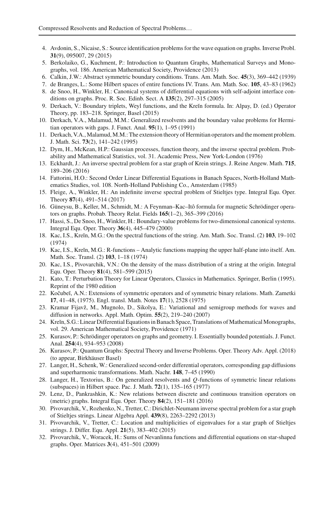- <span id="page-28-12"></span>4. Avdonin, S., Nicaise, S.: Source identification problems for the wave equation on graphs. Inverse Probl. **31**(9), 095007, 29 (2015)
- <span id="page-28-0"></span>5. Berkolaiko, G., Kuchment, P.: Introduction to Quantum Graphs, Mathematical Surveys and Monographs, vol. 186. American Mathematical Society, Providence (2013)
- <span id="page-28-19"></span>6. Calkin, J.W.: Abstract symmetric boundary conditions. Trans. Am. Math. Soc. **45**(3), 369–442 (1939)
- <span id="page-28-14"></span>7. de Branges, L.: Some Hilbert spaces of entire functions IV. Trans. Am. Math. Soc. **105**, 43–83 (1962)
- <span id="page-28-8"></span>8. de Snoo, H., Winkler, H.: Canonical systems of differential equations with self-adjoint interface conditions on graphs. Proc. R. Soc. Edinb. Sect. A **135**(2), 297–315 (2005)
- <span id="page-28-17"></span>9. Derkach, V.: Boundary triplets, Weyl functions, and the Kreĭn formula. In: Alpay, D. (ed.) Operator Theory, pp. 183–218. Springer, Basel (2015)
- <span id="page-28-18"></span>10. Derkach, V.A., Malamud, M.M.: Generalized resolvents and the boundary value problems for Hermitian operators with gaps. J. Funct. Anal. **95**(1), 1–95 (1991)
- <span id="page-28-11"></span>11. Derkach, V.A., Malamud, M.M.: The extension theory of Hermitian operators and the moment problem. J. Math. Sci. **73**(2), 141–242 (1995)
- <span id="page-28-16"></span>12. Dym, H., McKean, H.P.: Gaussian processes, function theory, and the inverse spectral problem. Probability and Mathematical Statistics, vol. 31. Academic Press, New York-London (1976)
- <span id="page-28-5"></span>13. Eckhardt, J.: An inverse spectral problem for a star graph of Krein strings. J. Reine Angew. Math. **715**, 189–206 (2016)
- <span id="page-28-23"></span>14. Fattorini, H.O.: Second Order Linear Differential Equations in Banach Spaces, North-Holland Mathematics Studies, vol. 108. North-Holland Publishing Co., Amsterdam (1985)
- <span id="page-28-28"></span>15. Fleige, A., Winkler, H.: An indefinite inverse spectral problem of Stieltjes type. Integral Equ. Oper. Theory **87**(4), 491–514 (2017)
- <span id="page-28-2"></span>16. Güneysu, B., Keller, M., Schmidt, M.: A Feynman–Kac–Itô formula for magnetic Schrödinger operators on graphs. Probab. Theory Relat. Fields **165**(1–2), 365–399 (2016)
- <span id="page-28-24"></span>17. Hassi, S., De Snoo, H., Winkler, H.: Boundary-value problems for two-dimensional canonical systems. Integral Equ. Oper. Theory **36**(4), 445–479 (2000)
- <span id="page-28-15"></span>18. Kac, I.S., Kre˘ın, M.G.: On the spectral functions of the string. Am. Math. Soc. Transl. (2) **103**, 19–102 (1974)
- <span id="page-28-26"></span>19. Kac, I.S., Kre˘ın, M.G.: R-functions – Analytic functions mapping the upper half-plane into itself. Am. Math. Soc. Transl. (2) **103**, 1–18 (1974)
- <span id="page-28-25"></span>20. Kac, I.S., Pivovarchik, V.N.: On the density of the mass distribution of a string at the origin. Integral Equ. Oper. Theory **81**(4), 581–599 (2015)
- <span id="page-28-21"></span>21. Kato, T.: Perturbation Theory for Linear Operators, Classics in Mathematics. Springer, Berlin (1995). Reprint of the 1980 edition
- <span id="page-28-20"></span>22. Kočubeĭ, A.N.: Extensions of symmetric operators and of symmetric binary relations. Math. Zametki **17**, 41–48, (1975). Engl. transl. Math. Notes **17**(1), 2528 (1975)
- <span id="page-28-13"></span>23. Kramar Fijavž, M., Mugnolo, D., Sikolya, E.: Variational and semigroup methods for waves and diffusion in networks. Appl. Math. Optim. **55**(2), 219–240 (2007)
- <span id="page-28-22"></span>24. Kreĭn, S.G.: Linear Differential Equations in Banach Space, Translations of Mathematical Monographs, vol. 29. American Mathematical Society, Providence (1971)
- <span id="page-28-3"></span>25. Kurasov, P.: Schrödinger operators on graphs and geometry. I. Essentially bounded potentials. J. Funct. Anal. **254**(4), 934–953 (2008)
- <span id="page-28-1"></span>26. Kurasov, P.: Quantum Graphs: Spectral Theory and Inverse Problems. Oper. Theory Adv. Appl. (2018) (to appear, Birkhäuser Basel)
- <span id="page-28-27"></span>27. Langer, H., Schenk, W.: Generalized second-order differential operators, corresponding gap diffusions and superharmonic transformations. Math. Nachr. **148**, 7–45 (1990)
- <span id="page-28-10"></span>28. Langer, H., Textorius, B.: On generalized resolvents and *Q*-functions of symmetric linear relations (subspaces) in Hilbert space. Pac. J. Math. **72**(1), 135–165 (1977)
- <span id="page-28-4"></span>29. Lenz, D., Pankrashkin, K.: New relations between discrete and continuous transition operators on (metric) graphs. Integral Equ. Oper. Theory **84**(2), 151–181 (2016)
- <span id="page-28-6"></span>30. Pivovarchik, V., Rozhenko, N., Tretter, C.: Dirichlet-Neumann inverse spectral problem for a star graph of Stieltjes strings. Linear Algebra Appl. **439**(8), 2263–2292 (2013)
- <span id="page-28-7"></span>31. Pivovarchik, V., Tretter, C.: Location and multiplicities of eigenvalues for a star graph of Stieltjes strings. J. Differ. Equ. Appl. **21**(5), 383–402 (2015)
- <span id="page-28-9"></span>32. Pivovarchik, V., Woracek, H.: Sums of Nevanlinna functions and differential equations on star-shaped graphs. Oper. Matrices **3**(4), 451–501 (2009)